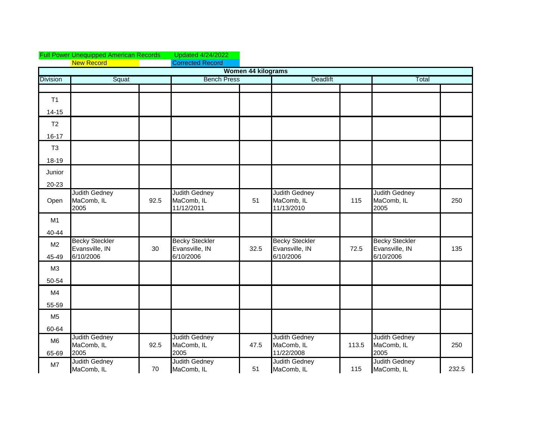|                         | <b>Full Power Unequipped American Records</b>        |      | <b>Updated 4/24/2022</b>                             |                           |                                                      |       |                                                      |       |
|-------------------------|------------------------------------------------------|------|------------------------------------------------------|---------------------------|------------------------------------------------------|-------|------------------------------------------------------|-------|
|                         | <b>New Record</b>                                    |      | <b>Corrected Record</b>                              |                           |                                                      |       |                                                      |       |
|                         |                                                      |      |                                                      | <b>Women 44 kilograms</b> |                                                      |       |                                                      |       |
| <b>Division</b>         | Squat                                                |      | <b>Bench Press</b>                                   |                           | <b>Deadlift</b>                                      |       | Total                                                |       |
|                         |                                                      |      |                                                      |                           |                                                      |       |                                                      |       |
| T1                      |                                                      |      |                                                      |                           |                                                      |       |                                                      |       |
| $14 - 15$               |                                                      |      |                                                      |                           |                                                      |       |                                                      |       |
| T2                      |                                                      |      |                                                      |                           |                                                      |       |                                                      |       |
| $16 - 17$               |                                                      |      |                                                      |                           |                                                      |       |                                                      |       |
| T <sub>3</sub>          |                                                      |      |                                                      |                           |                                                      |       |                                                      |       |
| 18-19                   |                                                      |      |                                                      |                           |                                                      |       |                                                      |       |
| Junior                  |                                                      |      |                                                      |                           |                                                      |       |                                                      |       |
| 20-23                   |                                                      |      |                                                      |                           |                                                      |       |                                                      |       |
| Open                    | <b>Judith Gedney</b><br>MaComb, IL<br>2005           | 92.5 | <b>Judith Gedney</b><br>MaComb, IL<br>11/12/2011     | 51                        | <b>Judith Gedney</b><br>MaComb, IL<br>11/13/2010     | 115   | <b>Judith Gedney</b><br>MaComb, IL<br>2005           | 250   |
| M1                      |                                                      |      |                                                      |                           |                                                      |       |                                                      |       |
| 40-44                   |                                                      |      |                                                      |                           |                                                      |       |                                                      |       |
| M <sub>2</sub><br>45-49 | <b>Becky Steckler</b><br>Evansville, IN<br>6/10/2006 | 30   | <b>Becky Steckler</b><br>Evansville, IN<br>6/10/2006 | 32.5                      | <b>Becky Steckler</b><br>Evansville, IN<br>6/10/2006 | 72.5  | <b>Becky Steckler</b><br>Evansville, IN<br>6/10/2006 | 135   |
| M <sub>3</sub>          |                                                      |      |                                                      |                           |                                                      |       |                                                      |       |
| 50-54                   |                                                      |      |                                                      |                           |                                                      |       |                                                      |       |
| M4                      |                                                      |      |                                                      |                           |                                                      |       |                                                      |       |
| 55-59                   |                                                      |      |                                                      |                           |                                                      |       |                                                      |       |
| M <sub>5</sub>          |                                                      |      |                                                      |                           |                                                      |       |                                                      |       |
| 60-64                   |                                                      |      |                                                      |                           |                                                      |       |                                                      |       |
| M <sub>6</sub><br>65-69 | <b>Judith Gedney</b><br>MaComb, IL<br>2005           | 92.5 | <b>Judith Gedney</b><br>MaComb, IL<br>2005           | 47.5                      | <b>Judith Gedney</b><br>MaComb, IL<br>11/22/2008     | 113.5 | <b>Judith Gedney</b><br>MaComb, IL<br>2005           | 250   |
| M7                      | <b>Judith Gedney</b><br>MaComb, IL                   | 70   | <b>Judith Gedney</b><br>MaComb, IL                   | 51                        | <b>Judith Gedney</b><br>MaComb, IL                   | 115   | <b>Judith Gedney</b><br>MaComb, IL                   | 232.5 |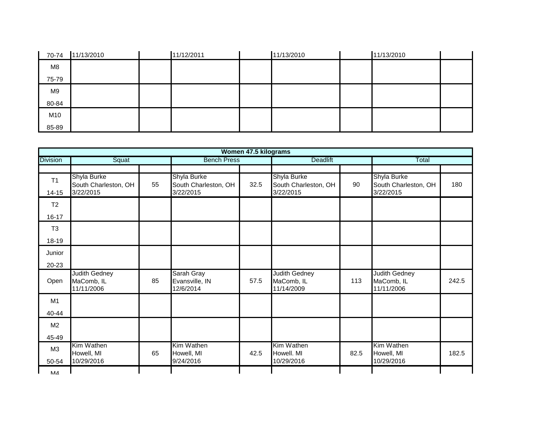| 70-74 | 11/13/2010 | 11/12/2011 | 11/13/2010 | 11/13/2010 |  |
|-------|------------|------------|------------|------------|--|
| M8    |            |            |            |            |  |
| 75-79 |            |            |            |            |  |
| M9    |            |            |            |            |  |
| 80-84 |            |            |            |            |  |
| M10   |            |            |            |            |  |
| 85-89 |            |            |            |            |  |

|                             |                                                  |    |                                                  | Women 47.5 kilograms |                                                  |      |                                                  |       |
|-----------------------------|--------------------------------------------------|----|--------------------------------------------------|----------------------|--------------------------------------------------|------|--------------------------------------------------|-------|
| <b>Division</b>             | Squat                                            |    | <b>Bench Press</b>                               |                      | <b>Deadlift</b>                                  |      | Total                                            |       |
| T <sub>1</sub><br>$14 - 15$ | Shyla Burke<br>South Charleston, OH<br>3/22/2015 | 55 | Shyla Burke<br>South Charleston, OH<br>3/22/2015 | 32.5                 | Shyla Burke<br>South Charleston, OH<br>3/22/2015 | 90   | Shyla Burke<br>South Charleston, OH<br>3/22/2015 | 180   |
| T <sub>2</sub><br>$16 - 17$ |                                                  |    |                                                  |                      |                                                  |      |                                                  |       |
| T <sub>3</sub><br>18-19     |                                                  |    |                                                  |                      |                                                  |      |                                                  |       |
| Junior<br>20-23             |                                                  |    |                                                  |                      |                                                  |      |                                                  |       |
| Open                        | Judith Gedney<br>MaComb, IL<br>11/11/2006        | 85 | Sarah Gray<br>Evansville, IN<br>12/6/2014        | 57.5                 | Judith Gedney<br>MaComb, IL<br>11/14/2009        | 113  | <b>Judith Gedney</b><br>MaComb, IL<br>11/11/2006 | 242.5 |
| M1<br>40-44                 |                                                  |    |                                                  |                      |                                                  |      |                                                  |       |
| M2<br>45-49                 |                                                  |    |                                                  |                      |                                                  |      |                                                  |       |
| M3<br>50-54                 | Kim Wathen<br>Howell, MI<br>10/29/2016           | 65 | Kim Wathen<br>Howell, MI<br>9/24/2016            | 42.5                 | Kim Wathen<br>Howell. MI<br>10/29/2016           | 82.5 | Kim Wathen<br>Howell, MI<br>10/29/2016           | 182.5 |
| <b>NA</b>                   |                                                  |    |                                                  |                      |                                                  |      |                                                  |       |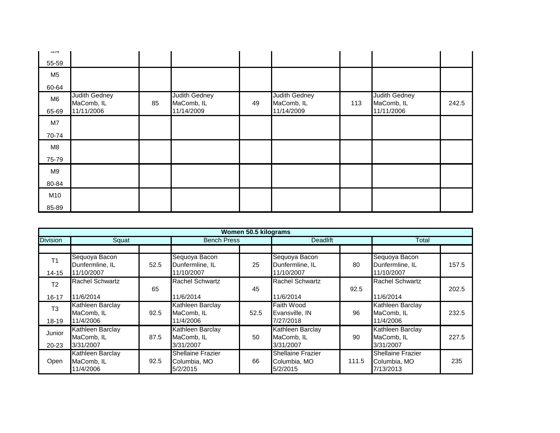| 111T                    |                                           |    |                                           |    |                                           |     |                                           |       |
|-------------------------|-------------------------------------------|----|-------------------------------------------|----|-------------------------------------------|-----|-------------------------------------------|-------|
| 55-59                   |                                           |    |                                           |    |                                           |     |                                           |       |
| M <sub>5</sub>          |                                           |    |                                           |    |                                           |     |                                           |       |
| 60-64                   |                                           |    |                                           |    |                                           |     |                                           |       |
| M <sub>6</sub><br>65-69 | Judith Gedney<br>MaComb, IL<br>11/11/2006 | 85 | Judith Gedney<br>MaComb, IL<br>11/14/2009 | 49 | Judith Gedney<br>MaComb, IL<br>11/14/2009 | 113 | Judith Gedney<br>MaComb, IL<br>11/11/2006 | 242.5 |
| M7                      |                                           |    |                                           |    |                                           |     |                                           |       |
| 70-74                   |                                           |    |                                           |    |                                           |     |                                           |       |
| M8                      |                                           |    |                                           |    |                                           |     |                                           |       |
| 75-79                   |                                           |    |                                           |    |                                           |     |                                           |       |
| M9                      |                                           |    |                                           |    |                                           |     |                                           |       |
| 80-84                   |                                           |    |                                           |    |                                           |     |                                           |       |
| M10                     |                                           |    |                                           |    |                                           |     |                                           |       |
| 85-89                   |                                           |    |                                           |    |                                           |     |                                           |       |

|                 |                                             |      |                                                      | Women 50.5 kilograms |                                               |       |                                                       |       |  |
|-----------------|---------------------------------------------|------|------------------------------------------------------|----------------------|-----------------------------------------------|-------|-------------------------------------------------------|-------|--|
| <b>Division</b> | Squat                                       |      | <b>Bench Press</b>                                   |                      | <b>Deadlift</b>                               |       | Total                                                 |       |  |
|                 |                                             |      |                                                      |                      |                                               |       |                                                       |       |  |
| T <sub>1</sub>  | Sequoya Bacon<br>Dunfermline, IL            | 52.5 | Sequoya Bacon<br>Dunfermline, IL                     | 25                   | Sequoya Bacon<br>Dunfermline, IL              | 80    | Sequoya Bacon<br>Dunfermline, IL                      | 157.5 |  |
| $14 - 15$       | 11/10/2007                                  |      | 11/10/2007                                           |                      | 11/10/2007                                    |       | 11/10/2007                                            |       |  |
| T <sub>2</sub>  | Rachel Schwartz                             | 65   | <b>Rachel Schwartz</b>                               | 45                   | Rachel Schwartz                               | 92.5  | <b>Rachel Schwartz</b>                                | 202.5 |  |
| 16-17           | 11/6/2014                                   |      | 11/6/2014                                            |                      | 11/6/2014                                     |       | 11/6/2014                                             |       |  |
| T <sub>3</sub>  | Kathleen Barclay<br>MaComb. IL              | 92.5 | Kathleen Barclay<br>MaComb, IL                       | 52.5                 | Faith Wood<br>Evansville, IN                  | 96    | Kathleen Barclay<br>MaComb, IL                        | 232.5 |  |
| 18-19           | 11/4/2006                                   |      | 11/4/2006                                            |                      | 7/27/2018                                     |       | 11/4/2006                                             |       |  |
| Junior          | Kathleen Barclay<br>MaComb. IL              | 87.5 | Kathleen Barclay<br>MaComb, IL                       | 50                   | Kathleen Barclay<br>MaComb. IL                | 90    | Kathleen Barclay<br>MaComb, IL                        | 227.5 |  |
| $20 - 23$       | 3/31/2007                                   |      | 3/31/2007                                            |                      | 3/31/2007                                     |       | 3/31/2007                                             |       |  |
| Open            | Kathleen Barclay<br>MaComb, IL<br>11/4/2006 | 92.5 | <b>Shellaine Frazier</b><br>Columbia, MO<br>5/2/2015 | 66                   | Shellaine Frazier<br>Columbia, MO<br>5/2/2015 | 111.5 | <b>Shellaine Frazier</b><br>Columbia, MO<br>7/13/2013 | 235   |  |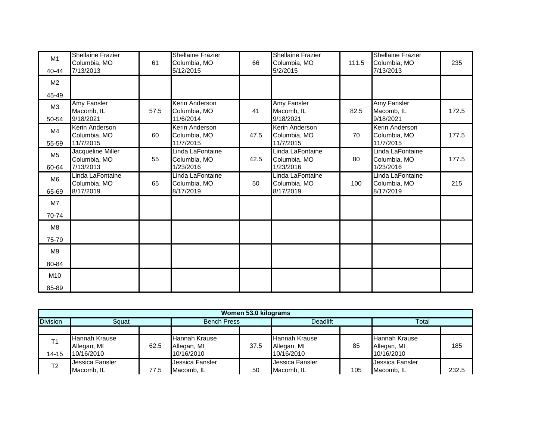| M1<br>40-44             | <b>Shellaine Frazier</b><br>Columbia, MO<br>7/13/2013 | 61   | <b>Shellaine Frazier</b><br>Columbia, MO<br>5/12/2015 | 66   | <b>Shellaine Frazier</b><br>Columbia, MO<br>5/2/2015 | 111.5 | <b>Shellaine Frazier</b><br>Columbia, MO<br>7/13/2013 | 235   |
|-------------------------|-------------------------------------------------------|------|-------------------------------------------------------|------|------------------------------------------------------|-------|-------------------------------------------------------|-------|
| M <sub>2</sub>          |                                                       |      |                                                       |      |                                                      |       |                                                       |       |
| 45-49                   |                                                       |      |                                                       |      |                                                      |       |                                                       |       |
| M <sub>3</sub><br>50-54 | <b>Amy Fansler</b><br>Macomb, IL<br>9/18/2021         | 57.5 | Kerin Anderson<br>Columbia, MO<br>11/6/2014           | 41   | <b>Amy Fansler</b><br>Macomb, IL<br>9/18/2021        | 82.5  | <b>Amy Fansler</b><br>Macomb, IL<br>9/18/2021         | 172.5 |
| M4<br>55-59             | Kerin Anderson<br>Columbia, MO<br>11/7/2015           | 60   | Kerin Anderson<br>Columbia, MO<br>11/7/2015           | 47.5 | Kerin Anderson<br>Columbia, MO<br>11/7/2015          | 70    | Kerin Anderson<br>Columbia, MO<br>11/7/2015           | 177.5 |
| M <sub>5</sub><br>60-64 | Jacqueline Miller<br>Columbia, MO<br>7/13/2013        | 55   | Linda LaFontaine<br>Columbia, MO<br>1/23/2016         | 42.5 | Linda LaFontaine<br>Columbia, MO<br>1/23/2016        | 80    | Linda LaFontaine<br>Columbia, MO<br>1/23/2016         | 177.5 |
| M6<br>65-69             | Linda LaFontaine<br>Columbia, MO<br>8/17/2019         | 65   | Linda LaFontaine<br>Columbia, MO<br>8/17/2019         | 50   | Linda LaFontaine<br>Columbia, MO<br>8/17/2019        | 100   | Linda LaFontaine<br>Columbia, MO<br>8/17/2019         | 215   |
| M <sub>7</sub>          |                                                       |      |                                                       |      |                                                      |       |                                                       |       |
| 70-74                   |                                                       |      |                                                       |      |                                                      |       |                                                       |       |
| M8                      |                                                       |      |                                                       |      |                                                      |       |                                                       |       |
| 75-79                   |                                                       |      |                                                       |      |                                                      |       |                                                       |       |
| M9                      |                                                       |      |                                                       |      |                                                      |       |                                                       |       |
| 80-84                   |                                                       |      |                                                       |      |                                                      |       |                                                       |       |
| M10                     |                                                       |      |                                                       |      |                                                      |       |                                                       |       |
| 85-89                   |                                                       |      |                                                       |      |                                                      |       |                                                       |       |

| Women 53.0 kilograms |                               |      |                                     |      |                                     |     |                                     |       |  |  |
|----------------------|-------------------------------|------|-------------------------------------|------|-------------------------------------|-----|-------------------------------------|-------|--|--|
| <b>Division</b>      | Squat                         |      | <b>Bench Press</b>                  |      | <b>Deadlift</b>                     |     | Total                               |       |  |  |
|                      |                               |      |                                     |      |                                     |     |                                     |       |  |  |
| T <sub>4</sub>       | Hannah Krause<br>Allegan, MI  | 62.5 | <b>Hannah Krause</b><br>Allegan, MI | 37.5 | <b>Hannah Krause</b><br>Allegan, MI | 85  | <b>Hannah Krause</b><br>Allegan, MI | 185   |  |  |
| $14 - 15$            | 10/16/2010                    |      | 10/16/2010                          |      | 10/16/2010                          |     | 10/16/2010                          |       |  |  |
| T <sub>2</sub>       | Jessica Fansler<br>Macomb, IL | 77.5 | Jessica Fansler<br>Macomb, IL       | 50   | Jessica Fansler<br>Macomb. IL       | 105 | Jessica Fansler<br>Macomb, IL       | 232.5 |  |  |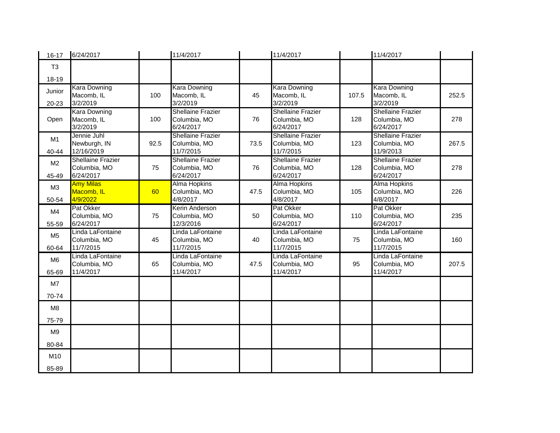| $16 - 17$               | 6/24/2017                                             |      | 11/4/2017                                             |      | 11/4/2017                                             |       | 11/4/2017                                             |       |
|-------------------------|-------------------------------------------------------|------|-------------------------------------------------------|------|-------------------------------------------------------|-------|-------------------------------------------------------|-------|
| T <sub>3</sub>          |                                                       |      |                                                       |      |                                                       |       |                                                       |       |
| $18 - 19$               |                                                       |      |                                                       |      |                                                       |       |                                                       |       |
| Junior<br>20-23         | <b>Kara Downing</b><br>Macomb, IL<br>3/2/2019         | 100  | <b>Kara Downing</b><br>Macomb, IL<br>3/2/2019         | 45   | <b>Kara Downing</b><br>Macomb, IL<br>3/2/2019         | 107.5 | <b>Kara Downing</b><br>Macomb, IL<br>3/2/2019         | 252.5 |
| Open                    | <b>Kara Downing</b><br>Macomb, IL<br>3/2/2019         | 100  | <b>Shellaine Frazier</b><br>Columbia, MO<br>6/24/2017 | 76   | <b>Shellaine Frazier</b><br>Columbia, MO<br>6/24/2017 | 128   | <b>Shellaine Frazier</b><br>Columbia, MO<br>6/24/2017 | 278   |
| M1<br>40-44             | Jennie Juhl<br>Newburgh, IN<br>12/16/2019             | 92.5 | <b>Shellaine Frazier</b><br>Columbia, MO<br>11/7/2015 | 73.5 | <b>Shellaine Frazier</b><br>Columbia, MO<br>11/7/2015 | 123   | <b>Shellaine Frazier</b><br>Columbia, MO<br>11/9/2013 | 267.5 |
| M <sub>2</sub><br>45-49 | <b>Shellaine Frazier</b><br>Columbia, MO<br>6/24/2017 | 75   | <b>Shellaine Frazier</b><br>Columbia, MO<br>6/24/2017 | 76   | <b>Shellaine Frazier</b><br>Columbia, MO<br>6/24/2017 | 128   | <b>Shellaine Frazier</b><br>Columbia, MO<br>6/24/2017 | 278   |
| M <sub>3</sub><br>50-54 | <b>Amy Milas</b><br>Macomb, IL<br>4/9/2022            | 60   | <b>Alma Hopkins</b><br>Columbia, MO<br>4/8/2017       | 47.5 | <b>Alma Hopkins</b><br>Columbia, MO<br>4/8/2017       | 105   | <b>Alma Hopkins</b><br>Columbia, MO<br>4/8/2017       | 226   |
| M4<br>55-59             | Pat Okker<br>Columbia, MO<br>6/24/2017                | 75   | Kerin Anderson<br>Columbia, MO<br>12/3/2016           | 50   | Pat Okker<br>Columbia, MO<br>6/24/2017                | 110   | Pat Okker<br>Columbia, MO<br>6/24/2017                | 235   |
| M <sub>5</sub><br>60-64 | Linda LaFontaine<br>Columbia, MO<br>11/7/2015         | 45   | Linda LaFontaine<br>Columbia, MO<br>11/7/2015         | 40   | Linda LaFontaine<br>Columbia, MO<br>11/7/2015         | 75    | Linda LaFontaine<br>Columbia, MO<br>11/7/2015         | 160   |
| M <sub>6</sub><br>65-69 | Linda LaFontaine<br>Columbia, MO<br>11/4/2017         | 65   | Linda LaFontaine<br>Columbia, MO<br>11/4/2017         | 47.5 | Linda LaFontaine<br>Columbia, MO<br>11/4/2017         | 95    | Linda LaFontaine<br>Columbia, MO<br>11/4/2017         | 207.5 |
| M7                      |                                                       |      |                                                       |      |                                                       |       |                                                       |       |
| 70-74                   |                                                       |      |                                                       |      |                                                       |       |                                                       |       |
| M8                      |                                                       |      |                                                       |      |                                                       |       |                                                       |       |
| 75-79                   |                                                       |      |                                                       |      |                                                       |       |                                                       |       |
| M <sub>9</sub>          |                                                       |      |                                                       |      |                                                       |       |                                                       |       |
| 80-84                   |                                                       |      |                                                       |      |                                                       |       |                                                       |       |
| M10                     |                                                       |      |                                                       |      |                                                       |       |                                                       |       |
| 85-89                   |                                                       |      |                                                       |      |                                                       |       |                                                       |       |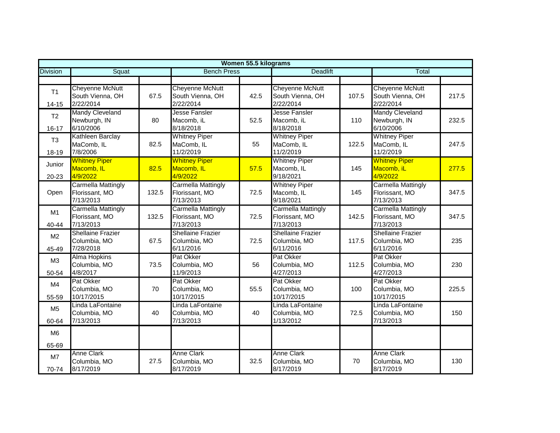|                         | Women 55.5 kilograms                                     |       |                                                          |      |                                                          |       |                                                          |       |  |  |
|-------------------------|----------------------------------------------------------|-------|----------------------------------------------------------|------|----------------------------------------------------------|-------|----------------------------------------------------------|-------|--|--|
| <b>Division</b>         | Squat                                                    |       | <b>Bench Press</b>                                       |      | <b>Deadlift</b>                                          |       | Total                                                    |       |  |  |
|                         |                                                          |       |                                                          |      |                                                          |       |                                                          |       |  |  |
| T1<br>$14 - 15$         | <b>Cheyenne McNutt</b><br>South Vienna, OH<br>2/22/2014  | 67.5  | <b>Cheyenne McNutt</b><br>South Vienna, OH<br>2/22/2014  | 42.5 | <b>Cheyenne McNutt</b><br>South Vienna, OH<br>2/22/2014  | 107.5 | <b>Cheyenne McNutt</b><br>South Vienna, OH<br>2/22/2014  | 217.5 |  |  |
| T2<br>16-17             | Mandy Cleveland<br>Newburgh, IN<br>6/10/2006             | 80    | Jesse Fansler<br>Macomb, iL<br>8/18/2018                 | 52.5 | Jesse Fansler<br>Macomb. iL<br>8/18/2018                 | 110   | <b>Mandy Cleveland</b><br>Newburgh, IN<br>6/10/2006      | 232.5 |  |  |
| T <sub>3</sub><br>18-19 | Kathleen Barclay<br>MaComb, IL<br>7/8/2006               | 82.5  | <b>Whitney Piper</b><br>MaComb, IL<br>11/2/2019          | 55   | <b>Whitney Piper</b><br>MaComb, IL<br>11/2/2019          | 122.5 | <b>Whitney Piper</b><br>MaComb, IL<br>11/2/2019          | 247.5 |  |  |
| Junior<br>20-23         | <b>Whitney Piper</b><br>Macomb, IL<br>4/9/2022           | 82.5  | <b>Whitney Piper</b><br>Macomb, IL<br>4/9/2022           | 57.5 | <b>Whitney Piper</b><br>Macomb, IL<br>9/18/2021          | 145   | <b>Whitney Piper</b><br>Macomb, iL<br>4/9/2022           | 277.5 |  |  |
| Open                    | <b>Carmella Mattingly</b><br>Florissant, MO<br>7/13/2013 | 132.5 | <b>Carmella Mattingly</b><br>Florissant, MO<br>7/13/2013 | 72.5 | <b>Whitney Piper</b><br>Macomb, IL<br>9/18/2021          | 145   | <b>Carmella Mattingly</b><br>Florissant, MO<br>7/13/2013 | 347.5 |  |  |
| M1<br>40-44             | Carmella Mattingly<br>Florissant, MO<br>7/13/2013        | 132.5 | Carmella Mattingly<br>Florissant, MO<br>7/13/2013        | 72.5 | <b>Carmella Mattingly</b><br>Florissant, MO<br>7/13/2013 | 142.5 | Carmella Mattingly<br>Florissant, MO<br>7/13/2013        | 347.5 |  |  |
| M <sub>2</sub><br>45-49 | <b>Shellaine Frazier</b><br>Columbia, MO<br>7/28/2018    | 67.5  | <b>Shellaine Frazier</b><br>Columbia, MO<br>6/11/2016    | 72.5 | <b>Shellaine Frazier</b><br>Columbia, MO<br>6/11/2016    | 117.5 | <b>Shellaine Frazier</b><br>Columbia, MO<br>6/11/2016    | 235   |  |  |
| M <sub>3</sub><br>50-54 | <b>Alma Hopkins</b><br>Columbia, MO<br>4/8/2017          | 73.5  | Pat Okker<br>Columbia, MO<br>11/9/2013                   | 56   | Pat Okker<br>Columbia, MO<br>4/27/2013                   | 112.5 | Pat Okker<br>Columbia, MO<br>4/27/2013                   | 230   |  |  |
| M4<br>55-59             | Pat Okker<br>Columbia, MO<br>10/17/2015                  | 70    | Pat Okker<br>Columbia, MO<br>10/17/2015                  | 55.5 | Pat Okker<br>Columbia, MO<br>10/17/2015                  | 100   | <b>Pat Okker</b><br>Columbia, MO<br>10/17/2015           | 225.5 |  |  |
| M <sub>5</sub><br>60-64 | Linda LaFontaine<br>Columbia, MO<br>7/13/2013            | 40    | Linda LaFontaine<br>Columbia, MO<br>7/13/2013            | 40   | Linda LaFontaine<br>Columbia, MO<br>1/13/2012            | 72.5  | Linda LaFontaine<br>Columbia, MO<br>7/13/2013            | 150   |  |  |
| M <sub>6</sub><br>65-69 |                                                          |       |                                                          |      |                                                          |       |                                                          |       |  |  |
| M7<br>70-74             | <b>Anne Clark</b><br>Columbia, MO<br>8/17/2019           | 27.5  | <b>Anne Clark</b><br>Columbia, MO<br>8/17/2019           | 32.5 | <b>Anne Clark</b><br>Columbia, MO<br>8/17/2019           | 70    | <b>Anne Clark</b><br>Columbia, MO<br>8/17/2019           | 130   |  |  |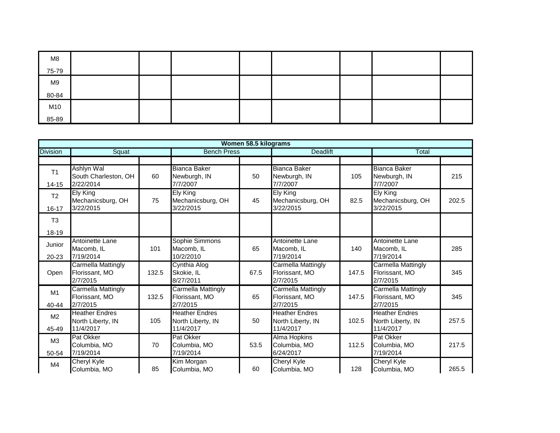| M8    |  |  |  |  |
|-------|--|--|--|--|
| 75-79 |  |  |  |  |
| M9    |  |  |  |  |
| 80-84 |  |  |  |  |
| M10   |  |  |  |  |
| 85-89 |  |  |  |  |

|                             |                                                         |       |                                                         | Women 58.5 kilograms |                                                         |       |                                                         |       |
|-----------------------------|---------------------------------------------------------|-------|---------------------------------------------------------|----------------------|---------------------------------------------------------|-------|---------------------------------------------------------|-------|
| <b>Division</b>             | Squat                                                   |       | <b>Bench Press</b>                                      |                      | <b>Deadlift</b>                                         |       | Total                                                   |       |
|                             |                                                         |       |                                                         |                      |                                                         |       |                                                         |       |
| T <sub>1</sub><br>$14 - 15$ | Ashlyn Wal<br>South Charleston, OH<br>2/22/2014         | 60    | <b>Bianca Baker</b><br>Newburgh, IN<br>7/7/2007         | 50                   | <b>Bianca Baker</b><br>Newburgh, IN<br>7/7/2007         | 105   | <b>Bianca Baker</b><br>Newburgh, IN<br>7/7/2007         | 215   |
| T <sub>2</sub><br>16-17     | Ely King<br>Mechanicsburg, OH<br>3/22/2015              | 75    | <b>Ely King</b><br>Mechanicsburg, OH<br>3/22/2015       | 45                   | Ely King<br>Mechanicsburg, OH<br>3/22/2015              | 82.5  | Ely King<br>Mechanicsburg, OH<br>3/22/2015              | 202.5 |
| T <sub>3</sub><br>18-19     |                                                         |       |                                                         |                      |                                                         |       |                                                         |       |
| Junior<br>$20 - 23$         | Antoinette Lane<br>Macomb, IL<br>7/19/2014              | 101   | Sophie Simmons<br>Macomb, IL<br>10/2/2010               | 65                   | Antoinette Lane<br>Macomb, IL<br>7/19/2014              | 140   | Antoinette Lane<br>Macomb, IL<br>7/19/2014              | 285   |
| Open                        | Carmella Mattingly<br>Florissant, MO<br>2/7/2015        | 132.5 | Cynthia Alog<br>Skokie, IL<br>8/27/2011                 | 67.5                 | Carmella Mattingly<br>Florissant, MO<br>2/7/2015        | 147.5 | Carmella Mattingly<br>Florissant, MO<br>2/7/2015        | 345   |
| M <sub>1</sub><br>40-44     | Carmella Mattingly<br>Florissant, MO<br>2/7/2015        | 132.5 | <b>Carmella Mattingly</b><br>Florissant, MO<br>2/7/2015 | 65                   | <b>Carmella Mattingly</b><br>Florissant, MO<br>2/7/2015 | 147.5 | <b>Carmella Mattingly</b><br>Florissant, MO<br>2/7/2015 | 345   |
| M <sub>2</sub><br>45-49     | <b>Heather Endres</b><br>North Liberty, IN<br>11/4/2017 | 105   | <b>Heather Endres</b><br>North Liberty, IN<br>11/4/2017 | 50                   | <b>Heather Endres</b><br>North Liberty, IN<br>11/4/2017 | 102.5 | <b>Heather Endres</b><br>North Liberty, IN<br>11/4/2017 | 257.5 |
| M <sub>3</sub><br>50-54     | Pat Okker<br>Columbia, MO<br>7/19/2014                  | 70    | Pat Okker<br>Columbia, MO<br>7/19/2014                  | 53.5                 | Alma Hopkins<br>Columbia, MO<br>6/24/2017               | 112.5 | <b>Pat Okker</b><br>Columbia, MO<br>7/19/2014           | 217.5 |
| M4                          | <b>Cheryl Kyle</b><br>Columbia, MO                      | 85    | Kim Morgan<br>Columbia, MO                              | 60                   | <b>Cheryl Kyle</b><br>Columbia, MO                      | 128   | <b>Cheryl Kyle</b><br>Columbia, MO                      | 265.5 |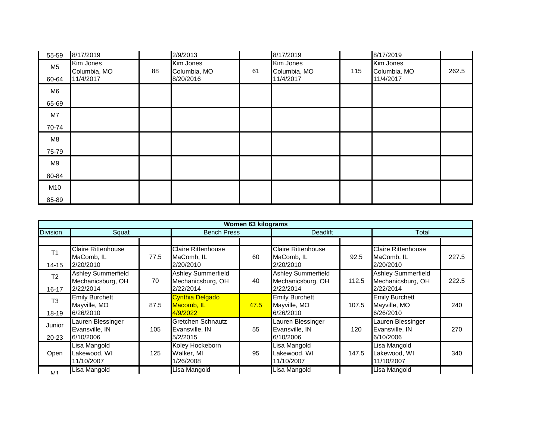| 55-59                   | 8/17/2019                              |    | 2/9/2013                               |    | 8/17/2019                              |     | 8/17/2019                              |       |
|-------------------------|----------------------------------------|----|----------------------------------------|----|----------------------------------------|-----|----------------------------------------|-------|
| M <sub>5</sub><br>60-64 | Kim Jones<br>Columbia, MO<br>11/4/2017 | 88 | Kim Jones<br>Columbia, MO<br>8/20/2016 | 61 | Kim Jones<br>Columbia, MO<br>11/4/2017 | 115 | Kim Jones<br>Columbia, MO<br>11/4/2017 | 262.5 |
| M6                      |                                        |    |                                        |    |                                        |     |                                        |       |
| 65-69                   |                                        |    |                                        |    |                                        |     |                                        |       |
| M7                      |                                        |    |                                        |    |                                        |     |                                        |       |
| 70-74                   |                                        |    |                                        |    |                                        |     |                                        |       |
| M8                      |                                        |    |                                        |    |                                        |     |                                        |       |
| 75-79                   |                                        |    |                                        |    |                                        |     |                                        |       |
| M9                      |                                        |    |                                        |    |                                        |     |                                        |       |
| 80-84                   |                                        |    |                                        |    |                                        |     |                                        |       |
| M10                     |                                        |    |                                        |    |                                        |     |                                        |       |
| 85-89                   |                                        |    |                                        |    |                                        |     |                                        |       |

|                             |                                                             |      |                                                             | Women 63 kilograms |                                                             |       |                                                             |       |
|-----------------------------|-------------------------------------------------------------|------|-------------------------------------------------------------|--------------------|-------------------------------------------------------------|-------|-------------------------------------------------------------|-------|
| <b>Division</b>             | Squat                                                       |      | <b>Bench Press</b>                                          |                    | <b>Deadlift</b>                                             |       | Total                                                       |       |
|                             |                                                             |      |                                                             |                    |                                                             |       |                                                             |       |
| T <sub>1</sub><br>14-15     | <b>Claire Rittenhouse</b><br>MaComb, IL<br>2/20/2010        | 77.5 | <b>Claire Rittenhouse</b><br>MaComb, IL<br>2/20/2010        | 60                 | <b>Claire Rittenhouse</b><br>MaComb, IL<br>2/20/2010        | 92.5  | <b>Claire Rittenhouse</b><br>MaComb, IL<br>2/20/2010        | 227.5 |
| T <sub>2</sub><br>$16 - 17$ | <b>Ashley Summerfield</b><br>Mechanicsburg, OH<br>2/22/2014 | 70   | <b>Ashley Summerfield</b><br>Mechanicsburg, OH<br>2/22/2014 | 40                 | <b>Ashley Summerfield</b><br>Mechanicsburg, OH<br>2/22/2014 | 112.5 | <b>Ashley Summerfield</b><br>Mechanicsburg, OH<br>2/22/2014 | 222.5 |
| T <sub>3</sub><br>18-19     | <b>Emily Burchett</b><br>Mayville, MO<br>6/26/2010          | 87.5 | <b>Cynthia Delgado</b><br>Macomb, IL<br>4/9/2022            | 47.5               | <b>Emily Burchett</b><br>Mayville, MO<br>6/26/2010          | 107.5 | <b>Emily Burchett</b><br>Mayville, MO<br>6/26/2010          | 240   |
| Junior<br>$20 - 23$         | Lauren Blessinger<br>Evansville, IN<br>6/10/2006            | 105  | Gretchen Schnautz<br>Evansville, IN<br>5/2/2015             | 55                 | Lauren Blessinger<br>Evansville, IN<br>6/10/2006            | 120   | Lauren Blessinger<br>Evansville, IN<br>6/10/2006            | 270   |
| Open                        | Lisa Mangold<br>Lakewood, WI<br>11/10/2007                  | 125  | Koley Hockeborn<br>Walker, MI<br>1/26/2008                  | 95                 | Lisa Mangold<br>Lakewood, WI<br>11/10/2007                  | 147.5 | Lisa Mangold<br>Lakewood, WI<br>11/10/2007                  | 340   |
| <b>M11</b>                  | Lisa Mangold                                                |      | Lisa Mangold                                                |                    | Lisa Mangold                                                |       | Lisa Mangold                                                |       |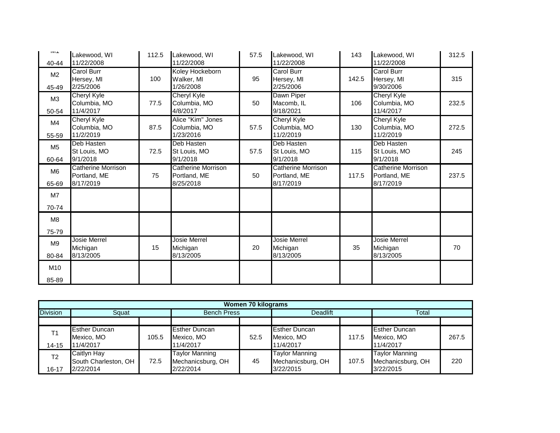| 11/22/2008<br>11/22/2008<br>11/22/2008<br>11/22/2008<br>40-44<br><b>Carol Burr</b><br>Carol Burr<br><b>Carol Burr</b><br>Koley Hockeborn<br>M <sub>2</sub><br>95<br>315<br>Hersey, MI<br>142.5<br>Hersey, MI<br>100<br>Walker, MI<br>Hersey, MI<br>2/25/2006<br>1/26/2008<br>2/25/2006<br>9/30/2006<br>45-49<br><b>Cheryl Kyle</b><br>Dawn Piper<br><b>Cheryl Kyle</b><br><b>Cheryl Kyle</b><br>M <sub>3</sub><br>Columbia, MO<br>50<br>Macomb, IL<br>Columbia, MO<br>232.5<br>77.5<br>Columbia, MO<br>106<br>11/4/2017<br>4/8/2017<br>9/18/2021<br>11/4/2017<br>50-54<br>Alice "Kim" Jones<br><b>Cheryl Kyle</b><br>Cheryl Kyle<br><b>Cheryl Kyle</b><br>M4<br>272.5<br>Columbia, MO<br>87.5<br>57.5<br>Columbia, MO<br>130<br>Columbia, MO<br>Columbia, MO<br>11/2/2019<br>11/2/2019<br>1/23/2016<br>11/2/2019<br>55-59<br>Deb Hasten<br>Deb Hasten<br>Deb Hasten<br>Deb Hasten<br>M <sub>5</sub><br>72.5<br>57.5<br>St Louis, MO<br>245<br>St Louis, MO<br>St Louis, MO<br>115<br>St Louis, MO<br>9/1/2018<br>9/1/2018<br>9/1/2018<br>9/1/2018<br>60-64<br><b>Catherine Morrison</b><br><b>Catherine Morrison</b><br><b>Catherine Morrison</b><br>Catherine Morrison<br>M <sub>6</sub><br>Portland, ME<br>50<br>Portland, ME<br>117.5<br>Portland, ME<br>237.5<br>75<br>Portland, ME<br>8/17/2019<br>8/25/2018<br>8/17/2019<br>8/17/2019<br>65-69<br>M7<br>70-74<br>M8<br>75-79<br>Josie Merrel<br>Josie Merrel<br><b>Josie Merrel</b><br>Josie Merrel<br>M <sub>9</sub><br>20<br>35<br>70<br>15<br>Michigan<br>Michigan<br>Michigan<br>Michigan<br>8/13/2005<br>8/13/2005<br>8/13/2005<br>8/13/2005<br>80-84<br>M10 | <b>IVIII</b> | Lakewood, WI | 112.5 | Lakewood, WI | 57.5 | Lakewood, WI | 143 | Lakewood, WI | 312.5 |
|-------------------------------------------------------------------------------------------------------------------------------------------------------------------------------------------------------------------------------------------------------------------------------------------------------------------------------------------------------------------------------------------------------------------------------------------------------------------------------------------------------------------------------------------------------------------------------------------------------------------------------------------------------------------------------------------------------------------------------------------------------------------------------------------------------------------------------------------------------------------------------------------------------------------------------------------------------------------------------------------------------------------------------------------------------------------------------------------------------------------------------------------------------------------------------------------------------------------------------------------------------------------------------------------------------------------------------------------------------------------------------------------------------------------------------------------------------------------------------------------------------------------------------------------------------------------------------------------------------------------------|--------------|--------------|-------|--------------|------|--------------|-----|--------------|-------|
|                                                                                                                                                                                                                                                                                                                                                                                                                                                                                                                                                                                                                                                                                                                                                                                                                                                                                                                                                                                                                                                                                                                                                                                                                                                                                                                                                                                                                                                                                                                                                                                                                         |              |              |       |              |      |              |     |              |       |
|                                                                                                                                                                                                                                                                                                                                                                                                                                                                                                                                                                                                                                                                                                                                                                                                                                                                                                                                                                                                                                                                                                                                                                                                                                                                                                                                                                                                                                                                                                                                                                                                                         |              |              |       |              |      |              |     |              |       |
|                                                                                                                                                                                                                                                                                                                                                                                                                                                                                                                                                                                                                                                                                                                                                                                                                                                                                                                                                                                                                                                                                                                                                                                                                                                                                                                                                                                                                                                                                                                                                                                                                         |              |              |       |              |      |              |     |              |       |
|                                                                                                                                                                                                                                                                                                                                                                                                                                                                                                                                                                                                                                                                                                                                                                                                                                                                                                                                                                                                                                                                                                                                                                                                                                                                                                                                                                                                                                                                                                                                                                                                                         |              |              |       |              |      |              |     |              |       |
|                                                                                                                                                                                                                                                                                                                                                                                                                                                                                                                                                                                                                                                                                                                                                                                                                                                                                                                                                                                                                                                                                                                                                                                                                                                                                                                                                                                                                                                                                                                                                                                                                         |              |              |       |              |      |              |     |              |       |
|                                                                                                                                                                                                                                                                                                                                                                                                                                                                                                                                                                                                                                                                                                                                                                                                                                                                                                                                                                                                                                                                                                                                                                                                                                                                                                                                                                                                                                                                                                                                                                                                                         |              |              |       |              |      |              |     |              |       |
|                                                                                                                                                                                                                                                                                                                                                                                                                                                                                                                                                                                                                                                                                                                                                                                                                                                                                                                                                                                                                                                                                                                                                                                                                                                                                                                                                                                                                                                                                                                                                                                                                         |              |              |       |              |      |              |     |              |       |
|                                                                                                                                                                                                                                                                                                                                                                                                                                                                                                                                                                                                                                                                                                                                                                                                                                                                                                                                                                                                                                                                                                                                                                                                                                                                                                                                                                                                                                                                                                                                                                                                                         |              |              |       |              |      |              |     |              |       |
|                                                                                                                                                                                                                                                                                                                                                                                                                                                                                                                                                                                                                                                                                                                                                                                                                                                                                                                                                                                                                                                                                                                                                                                                                                                                                                                                                                                                                                                                                                                                                                                                                         |              |              |       |              |      |              |     |              |       |
|                                                                                                                                                                                                                                                                                                                                                                                                                                                                                                                                                                                                                                                                                                                                                                                                                                                                                                                                                                                                                                                                                                                                                                                                                                                                                                                                                                                                                                                                                                                                                                                                                         |              |              |       |              |      |              |     |              |       |
|                                                                                                                                                                                                                                                                                                                                                                                                                                                                                                                                                                                                                                                                                                                                                                                                                                                                                                                                                                                                                                                                                                                                                                                                                                                                                                                                                                                                                                                                                                                                                                                                                         |              |              |       |              |      |              |     |              |       |
|                                                                                                                                                                                                                                                                                                                                                                                                                                                                                                                                                                                                                                                                                                                                                                                                                                                                                                                                                                                                                                                                                                                                                                                                                                                                                                                                                                                                                                                                                                                                                                                                                         |              |              |       |              |      |              |     |              |       |
|                                                                                                                                                                                                                                                                                                                                                                                                                                                                                                                                                                                                                                                                                                                                                                                                                                                                                                                                                                                                                                                                                                                                                                                                                                                                                                                                                                                                                                                                                                                                                                                                                         |              |              |       |              |      |              |     |              |       |
|                                                                                                                                                                                                                                                                                                                                                                                                                                                                                                                                                                                                                                                                                                                                                                                                                                                                                                                                                                                                                                                                                                                                                                                                                                                                                                                                                                                                                                                                                                                                                                                                                         |              |              |       |              |      |              |     |              |       |
|                                                                                                                                                                                                                                                                                                                                                                                                                                                                                                                                                                                                                                                                                                                                                                                                                                                                                                                                                                                                                                                                                                                                                                                                                                                                                                                                                                                                                                                                                                                                                                                                                         |              |              |       |              |      |              |     |              |       |
|                                                                                                                                                                                                                                                                                                                                                                                                                                                                                                                                                                                                                                                                                                                                                                                                                                                                                                                                                                                                                                                                                                                                                                                                                                                                                                                                                                                                                                                                                                                                                                                                                         |              |              |       |              |      |              |     |              |       |
|                                                                                                                                                                                                                                                                                                                                                                                                                                                                                                                                                                                                                                                                                                                                                                                                                                                                                                                                                                                                                                                                                                                                                                                                                                                                                                                                                                                                                                                                                                                                                                                                                         |              |              |       |              |      |              |     |              |       |
|                                                                                                                                                                                                                                                                                                                                                                                                                                                                                                                                                                                                                                                                                                                                                                                                                                                                                                                                                                                                                                                                                                                                                                                                                                                                                                                                                                                                                                                                                                                                                                                                                         |              |              |       |              |      |              |     |              |       |
|                                                                                                                                                                                                                                                                                                                                                                                                                                                                                                                                                                                                                                                                                                                                                                                                                                                                                                                                                                                                                                                                                                                                                                                                                                                                                                                                                                                                                                                                                                                                                                                                                         |              |              |       |              |      |              |     |              |       |
|                                                                                                                                                                                                                                                                                                                                                                                                                                                                                                                                                                                                                                                                                                                                                                                                                                                                                                                                                                                                                                                                                                                                                                                                                                                                                                                                                                                                                                                                                                                                                                                                                         |              |              |       |              |      |              |     |              |       |
|                                                                                                                                                                                                                                                                                                                                                                                                                                                                                                                                                                                                                                                                                                                                                                                                                                                                                                                                                                                                                                                                                                                                                                                                                                                                                                                                                                                                                                                                                                                                                                                                                         |              |              |       |              |      |              |     |              |       |
|                                                                                                                                                                                                                                                                                                                                                                                                                                                                                                                                                                                                                                                                                                                                                                                                                                                                                                                                                                                                                                                                                                                                                                                                                                                                                                                                                                                                                                                                                                                                                                                                                         |              |              |       |              |      |              |     |              |       |
|                                                                                                                                                                                                                                                                                                                                                                                                                                                                                                                                                                                                                                                                                                                                                                                                                                                                                                                                                                                                                                                                                                                                                                                                                                                                                                                                                                                                                                                                                                                                                                                                                         |              |              |       |              |      |              |     |              |       |
|                                                                                                                                                                                                                                                                                                                                                                                                                                                                                                                                                                                                                                                                                                                                                                                                                                                                                                                                                                                                                                                                                                                                                                                                                                                                                                                                                                                                                                                                                                                                                                                                                         |              |              |       |              |      |              |     |              |       |
|                                                                                                                                                                                                                                                                                                                                                                                                                                                                                                                                                                                                                                                                                                                                                                                                                                                                                                                                                                                                                                                                                                                                                                                                                                                                                                                                                                                                                                                                                                                                                                                                                         |              |              |       |              |      |              |     |              |       |
|                                                                                                                                                                                                                                                                                                                                                                                                                                                                                                                                                                                                                                                                                                                                                                                                                                                                                                                                                                                                                                                                                                                                                                                                                                                                                                                                                                                                                                                                                                                                                                                                                         | 85-89        |              |       |              |      |              |     |              |       |

|                 | <b>Women 70 kilograms</b> |       |                       |      |                       |       |                       |       |  |  |  |  |
|-----------------|---------------------------|-------|-----------------------|------|-----------------------|-------|-----------------------|-------|--|--|--|--|
| <b>Division</b> | Squat                     |       | <b>Bench Press</b>    |      | <b>Deadlift</b>       |       | Total                 |       |  |  |  |  |
|                 |                           |       |                       |      |                       |       |                       |       |  |  |  |  |
| T1              | <b>Esther Duncan</b>      |       | <b>Esther Duncan</b>  |      | <b>Esther Duncan</b>  |       | <b>Esther Duncan</b>  |       |  |  |  |  |
|                 | Mexico, MO                | 105.5 | Mexico, MO            | 52.5 | Mexico, MO            | 117.5 | Mexico, MO            | 267.5 |  |  |  |  |
| $14 - 15$       | 11/4/2017                 |       | 11/4/2017             |      | 11/4/2017             |       | 11/4/2017             |       |  |  |  |  |
| T <sub>2</sub>  | Caitlyn Hay               |       | <b>Taylor Manning</b> |      | <b>Taylor Manning</b> |       | <b>Taylor Manning</b> |       |  |  |  |  |
|                 | South Charleston, OH      | 72.5  | Mechanicsburg, OH     | 45   | Mechanicsburg, OH     | 107.5 | Mechanicsburg, OH     | 220   |  |  |  |  |
| 16-17           | 2/22/2014                 |       | 2/22/2014             |      | 3/22/2015             |       | 3/22/2015             |       |  |  |  |  |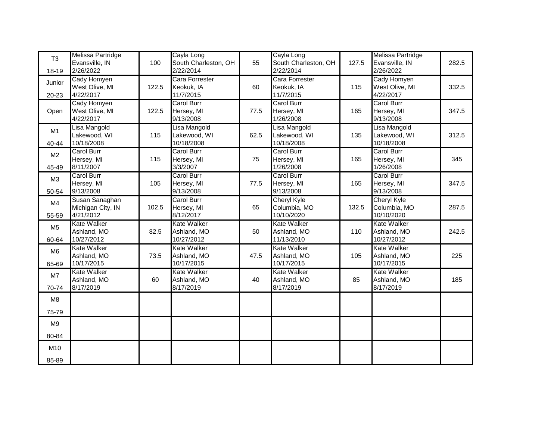| T <sub>3</sub> | Melissa Partridge               |       | Cayla Long                      |      | Cayla Long                       |       | Melissa Partridge           |       |
|----------------|---------------------------------|-------|---------------------------------|------|----------------------------------|-------|-----------------------------|-------|
|                | Evansville, IN                  | 100   | South Charleston, OH            | 55   | South Charleston, OH             | 127.5 | Evansville, IN              | 282.5 |
| 18-19          | 2/26/2022                       |       | 2/22/2014                       |      | 2/22/2014                        |       | 2/26/2022                   |       |
| Junior         | Cady Homyen<br>West Olive, MI   | 122.5 | Cara Forrester                  |      | Cara Forrester                   | 115   | Cady Homyen                 | 332.5 |
| 20-23          | 4/22/2017                       |       | Keokuk, IA<br>11/7/2015         | 60   | Keokuk, IA<br>11/7/2015          |       | West Olive, MI<br>4/22/2017 |       |
|                | Cady Homyen                     |       | <b>Carol Burr</b>               |      | <b>Carol Burr</b>                |       | <b>Carol Burr</b>           |       |
| Open           | West Olive, MI                  | 122.5 | Hersey, MI                      | 77.5 | Hersey, MI                       | 165   | Hersey, MI                  | 347.5 |
|                | 4/22/2017                       |       | 9/13/2008                       |      | 1/26/2008                        |       | 9/13/2008                   |       |
|                | Lisa Mangold                    |       | Lisa Mangold                    |      | Lisa Mangold                     |       | Lisa Mangold                |       |
| M1             | Lakewood, WI                    | 115   | Lakewood, WI                    | 62.5 | Lakewood, WI                     | 135   | Lakewood, WI                | 312.5 |
| 40-44          | 10/18/2008                      |       | 10/18/2008                      |      | 10/18/2008                       |       | 10/18/2008                  |       |
| M <sub>2</sub> | Carol Burr                      |       | <b>Carol Burr</b>               |      | Carol Burr                       |       | <b>Carol Burr</b>           |       |
|                | Hersey, MI                      | 115   | Hersey, MI                      | 75   | Hersey, MI                       | 165   | Hersey, MI                  | 345   |
| 45-49          | 8/11/2007                       |       | 3/3/2007                        |      | 1/26/2008                        |       | 1/26/2008                   |       |
| M <sub>3</sub> | <b>Carol Burr</b>               |       | Carol Burr                      |      | Carol Burr                       |       | <b>Carol Burr</b>           |       |
|                | Hersey, MI                      | 105   | Hersey, MI                      | 77.5 | Hersey, MI                       | 165   | Hersey, MI                  | 347.5 |
| 50-54          | 9/13/2008                       |       | 9/13/2008                       |      | 9/13/2008                        |       | 9/13/2008                   |       |
| M4             | Susan Sanaghan                  |       | <b>Carol Burr</b>               |      | <b>Cheryl Kyle</b>               |       | <b>Cheryl Kyle</b>          |       |
|                | Michigan City, IN               | 102.5 | Hersey, MI                      | 65   | Columbia, MO                     | 132.5 | Columbia, MO<br>10/10/2020  | 287.5 |
| 55-59          | 4/21/2012<br><b>Kate Walker</b> |       | 8/12/2017<br><b>Kate Walker</b> |      | 10/10/2020<br><b>Kate Walker</b> |       | <b>Kate Walker</b>          |       |
| M <sub>5</sub> | Ashland, MO                     | 82.5  | Ashland, MO                     | 50   | Ashland, MO                      | 110   | Ashland, MO                 | 242.5 |
| 60-64          | 10/27/2012                      |       | 10/27/2012                      |      | 11/13/2010                       |       | 10/27/2012                  |       |
|                | <b>Kate Walker</b>              |       | <b>Kate Walker</b>              |      | <b>Kate Walker</b>               |       | <b>Kate Walker</b>          |       |
| M <sub>6</sub> | Ashland, MO                     | 73.5  | Ashland, MO                     | 47.5 | Ashland, MO                      | 105   | Ashland, MO                 | 225   |
| 65-69          | 10/17/2015                      |       | 10/17/2015                      |      | 10/17/2015                       |       | 10/17/2015                  |       |
|                | <b>Kate Walker</b>              |       | <b>Kate Walker</b>              |      | <b>Kate Walker</b>               |       | <b>Kate Walker</b>          |       |
| M7             | Ashland, MO                     | 60    | Ashland, MO                     | 40   | Ashland, MO                      | 85    | Ashland, MO                 | 185   |
| 70-74          | 8/17/2019                       |       | 8/17/2019                       |      | 8/17/2019                        |       | 8/17/2019                   |       |
| M <sub>8</sub> |                                 |       |                                 |      |                                  |       |                             |       |
| 75-79          |                                 |       |                                 |      |                                  |       |                             |       |
| M <sub>9</sub> |                                 |       |                                 |      |                                  |       |                             |       |
| 80-84          |                                 |       |                                 |      |                                  |       |                             |       |
| M10            |                                 |       |                                 |      |                                  |       |                             |       |
| 85-89          |                                 |       |                                 |      |                                  |       |                             |       |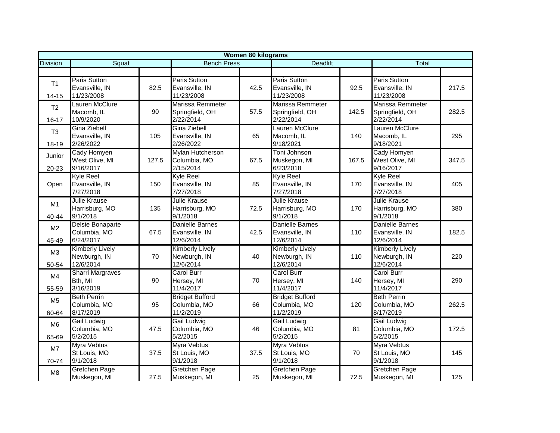|                             |                                                     |       |                                                         | <b>Women 80 kilograms</b> |                                                     |       |                                                         |       |
|-----------------------------|-----------------------------------------------------|-------|---------------------------------------------------------|---------------------------|-----------------------------------------------------|-------|---------------------------------------------------------|-------|
| <b>Division</b>             | Squat                                               |       | <b>Bench Press</b>                                      |                           | <b>Deadlift</b>                                     |       | Total                                                   |       |
|                             |                                                     |       |                                                         |                           |                                                     |       |                                                         |       |
| T1<br>$14 - 15$             | <b>Paris Sutton</b><br>Evansville, IN<br>11/23/2008 | 82.5  | Paris Sutton<br>Evansville, IN<br>11/23/2008            | 42.5                      | <b>Paris Sutton</b><br>Evansville, IN<br>11/23/2008 | 92.5  | Paris Sutton<br>Evansville, IN<br>11/23/2008            | 217.5 |
| T <sub>2</sub><br>$16 - 17$ | Lauren McClure<br>Macomb, IL<br>10/9/2020           | 90    | <b>Marissa Remmeter</b><br>Springfield, OH<br>2/22/2014 | 57.5                      | Marissa Remmeter<br>Springfield, OH<br>2/22/2014    | 142.5 | <b>Marissa Remmeter</b><br>Springfield, OH<br>2/22/2014 | 282.5 |
| T <sub>3</sub><br>18-19     | Gina Ziebell<br>Evansville, IN<br>2/26/2022         | 105   | Gina Ziebell<br>Evansville, IN<br>2/26/2022             | 65                        | Lauren McClure<br>Macomb, IL<br>9/18/2021           | 140   | Lauren McClure<br>Macomb, IL<br>9/18/2021               | 295   |
| Junior<br>20-23             | Cady Homyen<br>West Olive, MI<br>9/16/2017          | 127.5 | Mylan Hutcherson<br>Columbia, MO<br>2/15/2014           | 67.5                      | Toni Johnson<br>Muskegon, MI<br>6/23/2018           | 167.5 | Cady Homyen<br>West Olive, MI<br>9/16/2017              | 347.5 |
| Open                        | <b>Kyle Reel</b><br>Evansville, IN<br>7/27/2018     | 150   | <b>Kyle Reel</b><br>Evansville, IN<br>7/27/2018         | 85                        | <b>Kyle Reel</b><br>Evansville, IN<br>7/27/2018     | 170   | <b>Kyle Reel</b><br>Evansville, IN<br>7/27/2018         | 405   |
| M1<br>40-44                 | Julie Krause<br>Harrisburg, MO<br>9/1/2018          | 135   | <b>Julie Krause</b><br>Harrisburg, MO<br>9/1/2018       | 72.5                      | <b>Julie Krause</b><br>Harrisburg, MO<br>9/1/2018   | 170   | <b>Julie Krause</b><br>Harrisburg, MO<br>9/1/2018       | 380   |
| M <sub>2</sub><br>45-49     | Delsie Bonaparte<br>Columbia, MO<br>6/24/2017       | 67.5  | <b>Danielle Barnes</b><br>Evansville, IN<br>12/6/2014   | 42.5                      | Danielle Barnes<br>Evansville, IN<br>12/6/2014      | 110   | Danielle Barnes<br>Evansville, IN<br>12/6/2014          | 182.5 |
| M3<br>50-54                 | <b>Kimberly Lively</b><br>Newburgh, IN<br>12/6/2014 | 70    | <b>Kimberly Lively</b><br>Newburgh, IN<br>12/6/2014     | 40                        | <b>Kimberly Lively</b><br>Newburgh, IN<br>12/6/2014 | 110   | <b>Kimberly Lively</b><br>Newburgh, IN<br>12/6/2014     | 220   |
| M4<br>55-59                 | <b>Sharri Margraves</b><br>Bth, MI<br>3/16/2019     | 90    | <b>Carol Burr</b><br>Hersey, MI<br>11/4/2017            | 70                        | <b>Carol Burr</b><br>Hersey, MI<br>11/4/2017        | 140   | <b>Carol Burr</b><br>Hersey, MI<br>11/4/2017            | 290   |
| M <sub>5</sub><br>60-64     | <b>Beth Perrin</b><br>Columbia, MO<br>8/17/2019     | 95    | <b>Bridget Bufford</b><br>Columbia, MO<br>11/2/2019     | 66                        | <b>Bridget Bufford</b><br>Columbia, MO<br>11/2/2019 | 120   | <b>Beth Perrin</b><br>Columbia, MO<br>8/17/2019         | 262.5 |
| M <sub>6</sub><br>65-69     | <b>Gail Ludwig</b><br>Columbia, MO<br>5/2/2015      | 47.5  | <b>Gail Ludwig</b><br>Columbia, MO<br>5/2/2015          | 46                        | Gail Ludwig<br>Columbia, MO<br>5/2/2015             | 81    | Gail Ludwig<br>Columbia, MO<br>5/2/2015                 | 172.5 |
| M7<br>70-74                 | Myra Vebtus<br>St Louis, MO<br>9/1/2018             | 37.5  | Myra Vebtus<br>St Louis, MO<br>9/1/2018                 | 37.5                      | Myra Vebtus<br>St Louis, MO<br>9/1/2018             | 70    | Myra Vebtus<br>St Louis, MO<br>9/1/2018                 | 145   |
| M8                          | Gretchen Page<br>Muskegon, MI                       | 27.5  | <b>Gretchen Page</b><br>Muskegon, MI                    | 25                        | Gretchen Page<br>Muskegon, MI                       | 72.5  | <b>Gretchen Page</b><br>Muskegon, MI                    | 125   |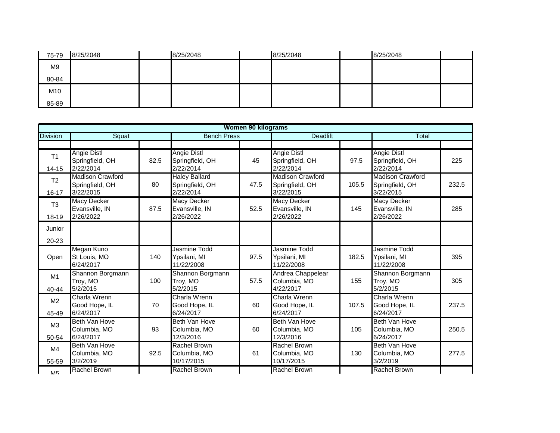| 75-79 | 8/25/2048 | 8/25/2048 | 8/25/2048 | 8/25/2048 |
|-------|-----------|-----------|-----------|-----------|
| M9    |           |           |           |           |
| 80-84 |           |           |           |           |
| M10   |           |           |           |           |
| 85-89 |           |           |           |           |

|                             |                                                         |      |                                                      | <b>Women 90 kilograms</b> |                                                         |       |                                                         |       |
|-----------------------------|---------------------------------------------------------|------|------------------------------------------------------|---------------------------|---------------------------------------------------------|-------|---------------------------------------------------------|-------|
| <b>Division</b>             | Squat                                                   |      | <b>Bench Press</b>                                   |                           | <b>Deadlift</b>                                         |       | <b>Total</b>                                            |       |
|                             |                                                         |      |                                                      |                           |                                                         |       |                                                         |       |
| T <sub>1</sub><br>$14 - 15$ | <b>Angie Distl</b><br>Springfield, OH<br>2/22/2014      | 82.5 | <b>Angie Distl</b><br>Springfield, OH<br>2/22/2014   | 45                        | <b>Angie Distl</b><br>Springfield, OH<br>2/22/2014      | 97.5  | <b>Angie Distl</b><br>Springfield, OH<br>2/22/2014      | 225   |
| T <sub>2</sub><br>$16 - 17$ | <b>Madison Crawford</b><br>Springfield, OH<br>3/22/2015 | 80   | <b>Haley Ballard</b><br>Springfield, OH<br>2/22/2014 | 47.5                      | <b>Madison Crawford</b><br>Springfield, OH<br>3/22/2015 | 105.5 | <b>Madison Crawford</b><br>Springfield, OH<br>3/22/2015 | 232.5 |
| T <sub>3</sub><br>18-19     | <b>Macy Decker</b><br>Evansville, IN<br>2/26/2022       | 87.5 | <b>Macy Decker</b><br>Evansville, IN<br>2/26/2022    | 52.5                      | <b>Macy Decker</b><br>Evansville, IN<br>2/26/2022       | 145   | <b>Macy Decker</b><br>Evansville, IN<br>2/26/2022       | 285   |
| Junior                      |                                                         |      |                                                      |                           |                                                         |       |                                                         |       |
| 20-23                       |                                                         |      |                                                      |                           |                                                         |       |                                                         |       |
| Open                        | Megan Kuno<br>St Louis, MO<br>6/24/2017                 | 140  | Jasmine Todd<br>Ypsilani, MI<br>11/22/2008           | 97.5                      | Jasmine Todd<br>Ypsilani, MI<br>11/22/2008              | 182.5 | Jasmine Todd<br>Ypsilani, MI<br>11/22/2008              | 395   |
| M1<br>40-44                 | Shannon Borgmann<br>Troy, MO<br>5/2/2015                | 100  | Shannon Borgmann<br>Troy, MO<br>5/2/2015             | 57.5                      | Andrea Chappelear<br>Columbia, MO<br>4/22/2017          | 155   | Shannon Borgmann<br>Troy, MO<br>5/2/2015                | 305   |
| M <sub>2</sub><br>45-49     | Charla Wrenn<br>Good Hope, IL<br>6/24/2017              | 70   | Charla Wrenn<br>Good Hope, IL<br>6/24/2017           | 60                        | Charla Wrenn<br>Good Hope, IL<br>6/24/2017              | 107.5 | Charla Wrenn<br>Good Hope, IL<br>6/24/2017              | 237.5 |
| M3<br>50-54                 | Beth Van Hove<br>Columbia, MO<br>6/24/2017              | 93   | Beth Van Hove<br>Columbia, MO<br>12/3/2016           | 60                        | Beth Van Hove<br>Columbia, MO<br>12/3/2016              | 105   | Beth Van Hove<br>Columbia, MO<br>6/24/2017              | 250.5 |
| M4<br>55-59                 | Beth Van Hove<br>Columbia, MO<br>3/2/2019               | 92.5 | Rachel Brown<br>Columbia, MO<br>10/17/2015           | 61                        | Rachel Brown<br>Columbia, MO<br>10/17/2015              | 130   | Beth Van Hove<br>Columbia, MO<br>3/2/2019               | 277.5 |
| <b>M5</b>                   | Rachel Brown                                            |      | <b>Rachel Brown</b>                                  |                           | Rachel Brown                                            |       | <b>Rachel Brown</b>                                     |       |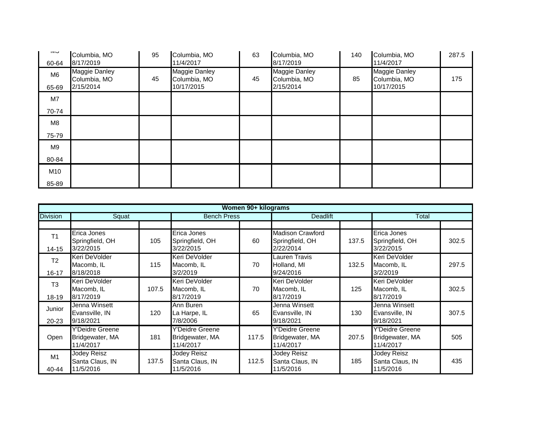| טועו<br>60-64  | Columbia, MO<br>8/17/2019                         | 95 | Columbia, MO<br>11/4/2017                          | 63 | Columbia, MO<br>8/17/2019                         | 140 | Columbia, MO<br>11/4/2017                          | 287.5 |
|----------------|---------------------------------------------------|----|----------------------------------------------------|----|---------------------------------------------------|-----|----------------------------------------------------|-------|
| M6<br>65-69    | <b>Maggie Danley</b><br>Columbia, MO<br>2/15/2014 | 45 | <b>Maggie Danley</b><br>Columbia, MO<br>10/17/2015 | 45 | <b>Maggie Danley</b><br>Columbia, MO<br>2/15/2014 | 85  | <b>Maggie Danley</b><br>Columbia, MO<br>10/17/2015 | 175   |
| M7             |                                                   |    |                                                    |    |                                                   |     |                                                    |       |
| 70-74          |                                                   |    |                                                    |    |                                                   |     |                                                    |       |
| M8             |                                                   |    |                                                    |    |                                                   |     |                                                    |       |
| 75-79          |                                                   |    |                                                    |    |                                                   |     |                                                    |       |
| M <sub>9</sub> |                                                   |    |                                                    |    |                                                   |     |                                                    |       |
| 80-84          |                                                   |    |                                                    |    |                                                   |     |                                                    |       |
| M10            |                                                   |    |                                                    |    |                                                   |     |                                                    |       |
| 85-89          |                                                   |    |                                                    |    |                                                   |     |                                                    |       |

|                             |                                                 |       |                                                 | Women 90+ kilograms |                                                         |       |                                                        |       |
|-----------------------------|-------------------------------------------------|-------|-------------------------------------------------|---------------------|---------------------------------------------------------|-------|--------------------------------------------------------|-------|
| <b>Division</b>             | Squat                                           |       | <b>Bench Press</b>                              |                     | <b>Deadlift</b>                                         |       | Total                                                  |       |
|                             |                                                 |       |                                                 |                     |                                                         |       |                                                        |       |
| T <sub>1</sub><br>$14 - 15$ | Erica Jones<br>Springfield, OH<br>3/22/2015     | 105   | Erica Jones<br>Springfield, OH<br>3/22/2015     | 60                  | <b>Madison Crawford</b><br>Springfield, OH<br>2/22/2014 | 137.5 | Erica Jones<br>Springfield, OH<br>3/22/2015            | 302.5 |
| T <sub>2</sub><br>$16 - 17$ | Keri DeVolder<br>Macomb, IL<br>8/18/2018        | 115   | Keri DeVolder<br>Macomb, IL<br>3/2/2019         | 70                  | Lauren Travis<br>Holland, MI<br>9/24/2016               | 132.5 | Keri DeVolder<br>Macomb, IL<br>3/2/2019                | 297.5 |
| T <sub>3</sub><br>18-19     | Keri DeVolder<br>Macomb, IL<br>8/17/2019        | 107.5 | Keri DeVolder<br>Macomb, IL<br>8/17/2019        | 70                  | Keri DeVolder<br>Macomb, IL<br>8/17/2019                | 125   | Keri DeVolder<br>Macomb, IL<br>8/17/2019               | 302.5 |
| Junior<br>20-23             | Jenna Winsett<br>Evansville, IN<br>9/18/2021    | 120   | Ann Buren<br>La Harpe, IL<br>7/8/2006           | 65                  | Jenna Winsett<br>Evansville, IN<br>9/18/2021            | 130   | Jenna Winsett<br>Evansville, IN<br>9/18/2021           | 307.5 |
| Open                        | Y'Deidre Greene<br>Bridgewater, MA<br>11/4/2017 | 181   | Y'Deidre Greene<br>Bridgewater, MA<br>11/4/2017 | 117.5               | <b>Y'Deidre Greene</b><br>Bridgewater, MA<br>11/4/2017  | 207.5 | <b>Y'Deidre Greene</b><br>Bridgewater, MA<br>11/4/2017 | 505   |
| M1<br>40-44                 | Jodey Reisz<br>Santa Claus, IN<br>11/5/2016     | 137.5 | Jodey Reisz<br>Santa Claus, IN<br>11/5/2016     | 112.5               | Jodey Reisz<br>Santa Claus, IN<br>11/5/2016             | 185   | Jodey Reisz<br>Santa Claus, IN<br>11/5/2016            | 435   |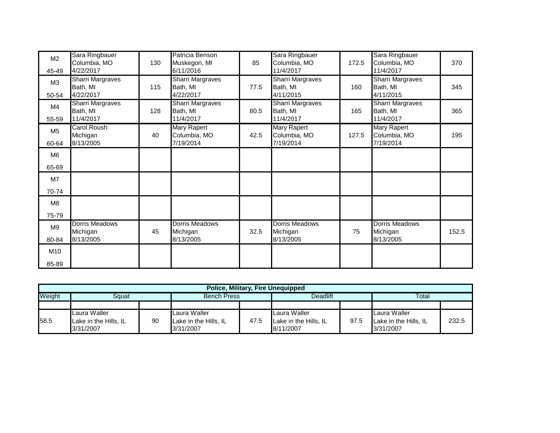| M2             | Sara Ringbauer<br>Columbia, MO | 130 | Patricia Benson<br>Muskegon, MI | 85   | Sara Ringbauer<br>Columbia, MO | 172.5 | Sara Ringbauer<br>Columbia, MO | 370   |
|----------------|--------------------------------|-----|---------------------------------|------|--------------------------------|-------|--------------------------------|-------|
| 45-49          | 4/22/2017                      |     | 6/11/2016                       |      | 11/4/2017                      |       | 11/4/2017                      |       |
| M <sub>3</sub> | <b>Sharri Margraves</b>        |     | <b>Sharri Margraves</b>         |      | <b>Sharri Margraves</b>        |       | <b>Sharri Margraves</b>        |       |
|                | Bath, MI                       | 115 | Bath, MI                        | 77.5 | Bath, MI                       | 160   | Bath, MI                       | 345   |
| 50-54          | 4/22/2017                      |     | 4/22/2017                       |      | 4/11/2015                      |       | 4/11/2015                      |       |
| M4             | <b>Sharri Margraves</b>        |     | <b>Sharri Margraves</b>         |      | <b>Sharri Margraves</b>        |       | <b>Sharri Margraves</b>        |       |
|                | Bath, MI                       | 128 | Bath, MI                        | 80.5 | Bath, MI                       | 165   | Bath, MI                       | 365   |
| 55-59          | 11/4/2017                      |     | 11/4/2017                       |      | 11/4/2017                      |       | 11/4/2017                      |       |
| M <sub>5</sub> | <b>Carol Roush</b>             |     | <b>Mary Rapert</b>              |      | <b>Mary Rapert</b>             |       | Mary Rapert                    |       |
|                | Michigan                       | 40  | Columbia, MO                    | 42.5 | Columbia, MO                   | 127.5 | Columbia, MO                   | 195   |
| 60-64          | 8/13/2005                      |     | 7/19/2014                       |      | 7/19/2014                      |       | 7/19/2014                      |       |
| M <sub>6</sub> |                                |     |                                 |      |                                |       |                                |       |
| 65-69          |                                |     |                                 |      |                                |       |                                |       |
| M7             |                                |     |                                 |      |                                |       |                                |       |
| 70-74          |                                |     |                                 |      |                                |       |                                |       |
| M8             |                                |     |                                 |      |                                |       |                                |       |
| 75-79          |                                |     |                                 |      |                                |       |                                |       |
| M <sub>9</sub> | Dorris Meadows                 |     | <b>Dorris Meadows</b>           |      | <b>Dorris Meadows</b>          |       | Dorris Meadows                 |       |
|                | Michigan                       | 45  | Michigan                        | 32.5 | Michigan                       | 75    | Michigan                       | 152.5 |
| 80-84          | 8/13/2005                      |     | 8/13/2005                       |      | 8/13/2005                      |       | 8/13/2005                      |       |
| M10            |                                |     |                                 |      |                                |       |                                |       |
| 85-89          |                                |     |                                 |      |                                |       |                                |       |

|                 | <b>Police, Military, Fire Unequipped</b>           |                    |                                                    |                 |                                                    |       |                                                    |       |  |  |  |
|-----------------|----------------------------------------------------|--------------------|----------------------------------------------------|-----------------|----------------------------------------------------|-------|----------------------------------------------------|-------|--|--|--|
| Weight<br>Sɑuat |                                                    | <b>Bench Press</b> |                                                    | <b>Deadlift</b> |                                                    | Total |                                                    |       |  |  |  |
|                 |                                                    |                    |                                                    |                 |                                                    |       |                                                    |       |  |  |  |
| 58.5            | Laura Waller<br>Lake in the Hills, IL<br>3/31/2007 | 90                 | Laura Waller<br>Lake in the Hills, IL<br>3/31/2007 | 47.5            | Laura Waller<br>Lake in the Hills, IL<br>8/11/2007 | 97.5  | Laura Waller<br>Lake in the Hills, IL<br>3/31/2007 | 232.5 |  |  |  |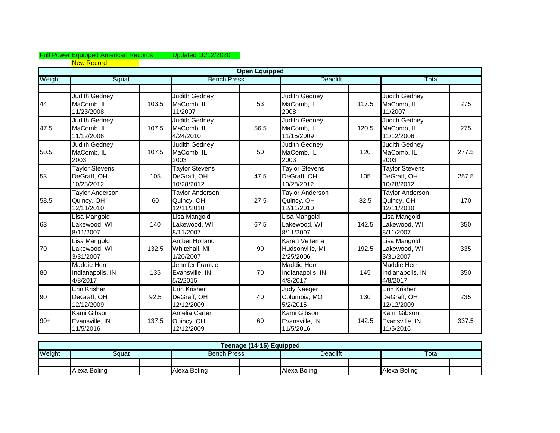## Full Power Equipped American Records Updated 10/12/2020 New Record

|        |                                                    |       |                                                    | <b>Open Equipped</b> |                                                    |       |                                                    |       |
|--------|----------------------------------------------------|-------|----------------------------------------------------|----------------------|----------------------------------------------------|-------|----------------------------------------------------|-------|
| Weight | Squat                                              |       | <b>Bench Press</b>                                 |                      | <b>Deadlift</b>                                    |       | Total                                              |       |
|        |                                                    |       |                                                    |                      |                                                    |       |                                                    |       |
| 44     | <b>Judith Gedney</b><br>MaComb, IL<br>11/23/2008   | 103.5 | <b>Judith Gedney</b><br>MaComb, IL<br>11/2007      | 53                   | <b>Judith Gedney</b><br>MaComb, IL<br>2008         | 117.5 | Judith Gedney<br>MaComb, IL<br>11/2007             | 275   |
| 47.5   | Judith Gedney<br>MaComb, IL<br>11/12/2006          | 107.5 | Judith Gedney<br>MaComb, IL<br>4/24/2010           | 56.5                 | <b>Judith Gedney</b><br>MaComb, IL<br>11/15/2009   | 120.5 | <b>Judith Gedney</b><br>MaComb, IL<br>11/12/2006   | 275   |
| 50.5   | <b>Judith Gedney</b><br>MaComb, IL<br>2003         | 107.5 | Judith Gedney<br>MaComb, IL<br>2003                | 50                   | <b>Judith Gedney</b><br>MaComb, IL<br>2003         | 120   | <b>Judith Gedney</b><br>MaComb, IL<br>2003         | 277.5 |
| 53     | <b>Taylor Stevens</b><br>DeGraff, OH<br>10/28/2012 | 105   | <b>Taylor Stevens</b><br>DeGraff, OH<br>10/28/2012 | 47.5                 | <b>Taylor Stevens</b><br>DeGraff, OH<br>10/28/2012 | 105   | <b>Taylor Stevens</b><br>DeGraff, OH<br>10/28/2012 | 257.5 |
| 58.5   | <b>Taylor Anderson</b><br>Quincy, OH<br>12/11/2010 | 60    | <b>Taylor Anderson</b><br>Quincy, OH<br>12/11/2010 | 27.5                 | <b>Taylor Anderson</b><br>Quincy, OH<br>12/11/2010 | 82.5  | <b>Taylor Anderson</b><br>Quincy, OH<br>12/11/2010 | 170   |
| 63     | Lisa Mangold<br>Lakewood, WI<br>8/11/2007          | 140   | Lisa Mangold<br>Lakewood, WI<br>8/11/2007          | 67.5                 | Lisa Mangold<br>Lakewood, WI<br>8/11/2007          | 142.5 | Lisa Mangold<br>Lakewood, WI<br>8/11/2007          | 350   |
| 70     | Lisa Mangold<br>Lakewood, WI<br>3/31/2007          | 132.5 | Amber Holland<br>Whitehall, MI<br>1/20/2007        | 90                   | Karen Veltema<br>Hudsonville, MI<br>2/25/2006      | 192.5 | Lisa Mangold<br>Lakewood, WI<br>3/31/2007          | 335   |
| 80     | <b>Maddie Herr</b><br>Indianapolis, IN<br>4/8/2017 | 135   | Jennifer Frankic<br>Evansville, IN<br>5/2/2015     | 70                   | <b>Maddie Herr</b><br>Indianapolis, IN<br>4/8/2017 | 145   | <b>Maddie Herr</b><br>Indianapolis, IN<br>4/8/2017 | 350   |
| 90     | Erin Krisher<br>DeGraff, OH<br>12/12/2009          | 92.5  | Erin Krisher<br>DeGraff, OH<br>12/12/2009          | 40                   | <b>Judy Naeger</b><br>Columbia, MO<br>5/2/2015     | 130   | <b>Erin Krisher</b><br>DeGraff, OH<br>12/12/2009   | 235   |
| $90+$  | Kami Gibson<br>Evansville, IN<br>11/5/2016         | 137.5 | Amelia Carter<br>Quincy, OH<br>12/12/2009          | 60                   | Kami Gibson<br>Evansville, IN<br>11/5/2016         | 142.5 | Kami Gibson<br>Evansville, IN<br>11/5/2016         | 337.5 |

|        | Teenage (14-15) Equipped |  |                    |  |              |  |              |  |  |
|--------|--------------------------|--|--------------------|--|--------------|--|--------------|--|--|
| Weight | Squat                    |  | <b>Bench Press</b> |  | Deadlift     |  | Total        |  |  |
|        |                          |  |                    |  |              |  |              |  |  |
|        | Alexa Boling             |  | Alexa Boling       |  | Alexa Boling |  | Alexa Boling |  |  |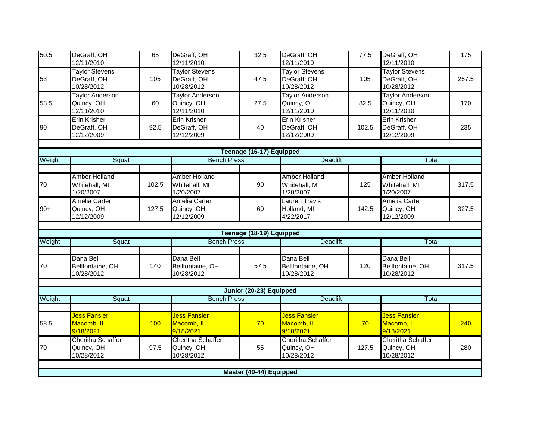| 50.5   | DeGraff, OH<br>12/11/2010                          | 65    | DeGraff, OH<br>12/11/2010                          | 32.5                     | DeGraff, OH<br>12/11/2010                          | 77.5  | DeGraff, OH<br>12/11/2010                          | 175   |
|--------|----------------------------------------------------|-------|----------------------------------------------------|--------------------------|----------------------------------------------------|-------|----------------------------------------------------|-------|
| 53     | <b>Taylor Stevens</b><br>DeGraff, OH<br>10/28/2012 | 105   | <b>Taylor Stevens</b><br>DeGraff, OH<br>10/28/2012 | 47.5                     | <b>Taylor Stevens</b><br>DeGraff, OH<br>10/28/2012 | 105   | <b>Taylor Stevens</b><br>DeGraff, OH<br>10/28/2012 | 257.5 |
| 58.5   | <b>Taylor Anderson</b><br>Quincy, OH<br>12/11/2010 | 60    | <b>Taylor Anderson</b><br>Quincy, OH<br>12/11/2010 | 27.5                     | <b>Taylor Anderson</b><br>Quincy, OH<br>12/11/2010 | 82.5  | <b>Taylor Anderson</b><br>Quincy, OH<br>12/11/2010 | 170   |
| 90     | Erin Krisher<br>DeGraff, OH<br>12/12/2009          | 92.5  | Erin Krisher<br>DeGraff, OH<br>12/12/2009          | 40                       | <b>Erin Krisher</b><br>DeGraff, OH<br>12/12/2009   | 102.5 | <b>Erin Krisher</b><br>DeGraff, OH<br>12/12/2009   | 235   |
|        |                                                    |       |                                                    |                          |                                                    |       |                                                    |       |
|        |                                                    |       | <b>Bench Press</b>                                 | Teenage (16-17) Equipped | <b>Deadlift</b>                                    |       | Total                                              |       |
| Weight | Squat                                              |       |                                                    |                          |                                                    |       |                                                    |       |
| 70     | <b>Amber Holland</b><br>Whitehall, MI<br>1/20/2007 | 102.5 | <b>Amber Holland</b><br>Whitehall, MI<br>1/20/2007 | 90                       | Amber Holland<br>Whitehall, MI<br>1/20/2007        | 125   | <b>Amber Holland</b><br>Whitehall, MI<br>1/20/2007 | 317.5 |
| $90+$  | Amelia Carter<br>Quincy, OH<br>12/12/2009          | 127.5 | Amelia Carter<br>Quincy, OH<br>12/12/2009          | 60                       | <b>Lauren Travis</b><br>Holland, MI<br>4/22/2017   | 142.5 | <b>Amelia Carter</b><br>Quincy, OH<br>12/12/2009   | 327.5 |
|        |                                                    |       |                                                    |                          |                                                    |       |                                                    |       |
| Weight | Squat                                              |       | <b>Bench Press</b>                                 | Teenage (18-19) Equipped | <b>Deadlift</b>                                    |       | Total                                              |       |
|        |                                                    |       |                                                    |                          |                                                    |       |                                                    |       |
| 70     | Dana Bell<br>Bellfontaine, OH<br>10/28/2012        | 140   | Dana Bell<br>Bellfontaine, OH<br>10/28/2012        | 57.5                     | Dana Bell<br>Bellfontaine, OH<br>10/28/2012        | 120   | Dana Bell<br>Bellfontaine, OH<br>10/28/2012        | 317.5 |
|        |                                                    |       |                                                    |                          |                                                    |       |                                                    |       |
|        |                                                    |       |                                                    | Junior (20-23) Equipped  |                                                    |       |                                                    |       |
| Weight | Squat                                              |       | <b>Bench Press</b>                                 |                          | <b>Deadlift</b>                                    |       | Total                                              |       |
| 58.5   | <b>Jess Fansler</b><br>Macomb, IL<br>9/18/2021     | 100   | <b>Jess Fansler</b><br>Macomb, IL<br>9/18/2021     | 70                       | <b>Jess Fansler</b><br>Macomb, IL<br>9/18/2021     | 70    | <b>Jess Fansler</b><br>Macomb, IL<br>9/18/2021     | 240   |
| 70     | Cheritha Schaffer<br>Quincy, OH<br>10/28/2012      | 97.5  | Cheritha Schaffer<br>Quincy, OH<br>10/28/2012      | 55                       | Cheritha Schaffer<br>Quincy, OH<br>10/28/2012      | 127.5 | Cheritha Schaffer<br>Quincy, OH<br>10/28/2012      | 280   |
|        |                                                    |       |                                                    |                          |                                                    |       |                                                    |       |
|        |                                                    |       |                                                    | Master (40-44) Equipped  |                                                    |       |                                                    |       |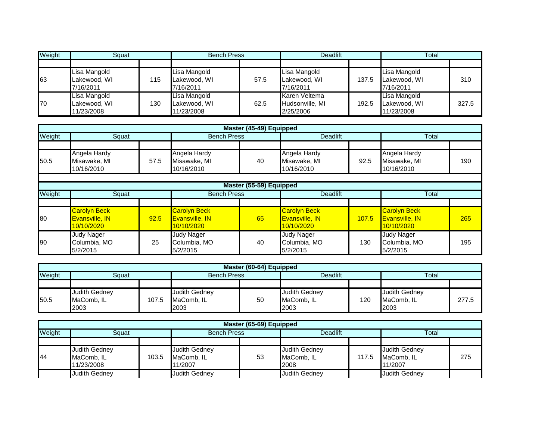| Weight | Sauat                                      |     | <b>Bench Press</b>                         |      | <b>Deadlift</b>                               |       | Total                                      |       |
|--------|--------------------------------------------|-----|--------------------------------------------|------|-----------------------------------------------|-------|--------------------------------------------|-------|
|        |                                            |     |                                            |      |                                               |       |                                            |       |
| 63     | Lisa Mangold<br>Lakewood, WI<br>7/16/2011  | 115 | Lisa Mangold<br>Lakewood, WI<br>7/16/2011  | 57.5 | Lisa Mangold<br>Lakewood, WI<br>7/16/2011     | 137.5 | Lisa Mangold<br>Lakewood, WI<br>7/16/2011  | 310   |
| 70     | Lisa Mangold<br>Lakewood, WI<br>11/23/2008 | 130 | Lisa Mangold<br>Lakewood, WI<br>11/23/2008 | 62.5 | Karen Veltema<br>Hudsonville, MI<br>2/25/2006 | 192.5 | Lisa Mangold<br>Lakewood, WI<br>11/23/2008 | 327.5 |

|        |                                                            |      |                                                            | Master (45-49) Equipped |                                                            |                 |                                                            |     |
|--------|------------------------------------------------------------|------|------------------------------------------------------------|-------------------------|------------------------------------------------------------|-----------------|------------------------------------------------------------|-----|
| Weight | Squat                                                      |      |                                                            | <b>Bench Press</b>      |                                                            | <b>Deadlift</b> |                                                            |     |
|        |                                                            |      |                                                            |                         |                                                            |                 |                                                            |     |
| 50.5   | Angela Hardy<br>Misawake, MI<br>10/16/2010                 | 57.5 | Angela Hardy<br>Misawake, MI<br>10/16/2010                 | 40                      | Angela Hardy<br>Misawake, MI<br>10/16/2010                 | 92.5            | Angela Hardy<br>Misawake, MI<br>10/16/2010                 | 190 |
|        |                                                            |      |                                                            |                         |                                                            |                 |                                                            |     |
|        |                                                            |      |                                                            | Master (55-59) Equipped |                                                            |                 |                                                            |     |
| Weight | Squat                                                      |      | <b>Bench Press</b>                                         |                         | <b>Deadlift</b>                                            |                 | Total                                                      |     |
|        |                                                            |      |                                                            |                         |                                                            |                 |                                                            |     |
| 80     | <b>Carolyn Beck</b><br><b>Evansville, IN</b><br>10/10/2020 | 92.5 | <b>Carolyn Beck</b><br><b>Evansville, IN</b><br>10/10/2020 | 65                      | <b>Carolyn Beck</b><br><b>Evansville, IN</b><br>10/10/2020 | 107.5           | <b>Carolyn Beck</b><br><b>Evansville, IN</b><br>10/10/2020 | 265 |
| 90     | <b>Judy Nager</b><br>Columbia, MO<br>5/2/2015              | 25   | Judy Nager<br>Columbia, MO<br>5/2/2015                     | 40                      | <b>Judy Nager</b><br>Columbia, MO<br>5/2/2015              | 130             | <b>Judy Nager</b><br>Columbia, MO<br>5/2/2015              | 195 |

|        | Master (60-64) Equipped |       |                      |    |                      |     |                      |       |  |  |
|--------|-------------------------|-------|----------------------|----|----------------------|-----|----------------------|-------|--|--|
| Weight | Squat                   |       | <b>Bench Press</b>   |    | Deadlift             |     | Total                |       |  |  |
|        |                         |       |                      |    |                      |     |                      |       |  |  |
|        | <b>Judith Gedney</b>    |       | <b>Judith Gedney</b> |    | <b>Judith Gedney</b> |     | <b>Judith Gedney</b> |       |  |  |
| 50.5   | MaComb, IL              | 107.5 | MaComb. IL           | 50 | MaComb. IL           | 120 | MaComb. IL           | 277.5 |  |  |
|        | 2003                    |       | 2003                 |    | 2003                 |     | 2003                 |       |  |  |

| Master (65-69) Equipped |                                                  |       |                                        |    |                                            |       |                                        |     |  |
|-------------------------|--------------------------------------------------|-------|----------------------------------------|----|--------------------------------------------|-------|----------------------------------------|-----|--|
| Weight                  | Sauat                                            |       | <b>Bench Press</b>                     |    | Deadlift                                   |       | Total                                  |     |  |
|                         |                                                  |       |                                        |    |                                            |       |                                        |     |  |
| 44                      | <b>Judith Gedney</b><br>MaComb, IL<br>11/23/2008 | 103.5 | Judith Gedney<br>MaComb. IL<br>11/2007 | 53 | <b>Judith Gedney</b><br>MaComb, IL<br>2008 | 117.5 | Judith Gedney<br>MaComb, IL<br>11/2007 | 275 |  |
|                         | <b>Judith Gedney</b>                             |       | Judith Gedney                          |    | <b>Judith Gedney</b>                       |       | Judith Gedney                          |     |  |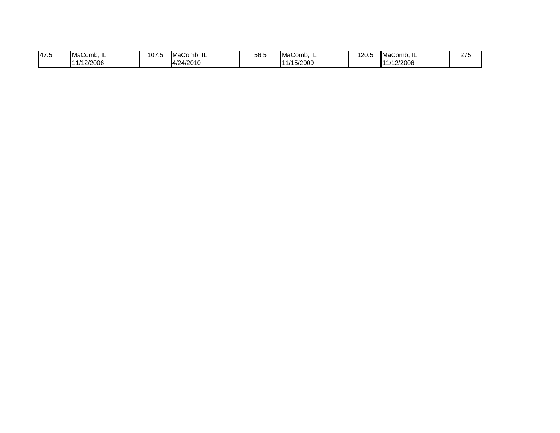| 47.5<br>107.5<br>56.5<br>120.5<br>MaComb. IL<br>MaComb. IL<br>MaComb. IL<br><b>■MaComb. IL</b><br>11/15/2009<br>11/12/2006<br>4/24/2010<br>1/12/2006 | 275 |
|------------------------------------------------------------------------------------------------------------------------------------------------------|-----|
|------------------------------------------------------------------------------------------------------------------------------------------------------|-----|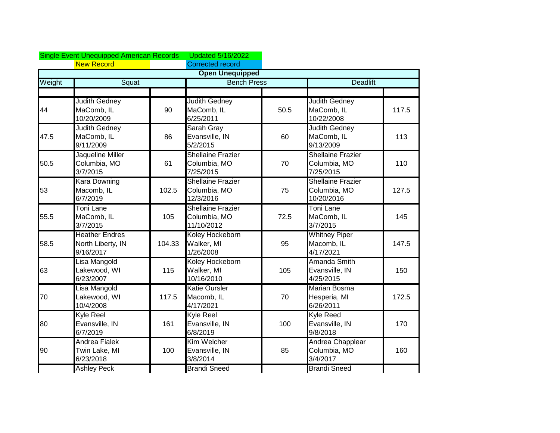|        | <b>Single Event Unequipped American Records</b>         |        | <b>Updated 5/16/2022</b>                               |                    |                                                       |                 |  |
|--------|---------------------------------------------------------|--------|--------------------------------------------------------|--------------------|-------------------------------------------------------|-----------------|--|
|        | <b>New Record</b>                                       |        | <b>Corrected record</b>                                |                    |                                                       |                 |  |
|        |                                                         |        | <b>Open Unequipped</b>                                 |                    |                                                       |                 |  |
| Weight | Squat                                                   |        |                                                        | <b>Bench Press</b> |                                                       | <b>Deadlift</b> |  |
| 44     | <b>Judith Gedney</b><br>MaComb, IL<br>10/20/2009        | 90     | <b>Judith Gedney</b><br>MaComb, IL<br>6/25/2011        | 50.5               | <b>Judith Gedney</b><br>MaComb, IL<br>10/22/2008      | 117.5           |  |
| 47.5   | <b>Judith Gedney</b><br>MaComb, IL<br>9/11/2009         | 86     | Sarah Gray<br>Evansville, IN<br>5/2/2015               | 60                 | <b>Judith Gedney</b><br>MaComb, IL<br>9/13/2009       | 113             |  |
| 50.5   | Jaqueline Miller<br>Columbia, MO<br>3/7/2015            | 61     | <b>Shellaine Frazier</b><br>Columbia, MO<br>7/25/2015  | 70                 | <b>Shellaine Frazier</b><br>Columbia, MO<br>7/25/2015 | 110             |  |
| 53     | <b>Kara Downing</b><br>Macomb, IL<br>6/7/2019           | 102.5  | <b>Shellaine Frazier</b><br>Columbia, MO<br>12/3/2016  | 75                 | Shellaine Frazier<br>Columbia, MO<br>10/20/2016       | 127.5           |  |
| 55.5   | <b>Toni Lane</b><br>MaComb, IL<br>3/7/2015              | 105    | <b>Shellaine Frazier</b><br>Columbia, MO<br>11/10/2012 | 72.5               | <b>Toni Lane</b><br>MaComb, IL<br>3/7/2015            | 145             |  |
| 58.5   | <b>Heather Endres</b><br>North Liberty, IN<br>9/16/2017 | 104.33 | Koley Hockeborn<br>Walker, MI<br>1/26/2008             | 95                 | <b>Whitney Piper</b><br>Macomb, IL<br>4/17/2021       | 147.5           |  |
| 63     | Lisa Mangold<br>Lakewood, WI<br>6/23/2007               | 115    | Koley Hockeborn<br>Walker, MI<br>10/16/2010            | 105                | Amanda Smith<br>Evansville, IN<br>4/25/2015           | 150             |  |
| 70     | Lisa Mangold<br>Lakewood, WI<br>10/4/2008               | 117.5  | <b>Katie Oursler</b><br>Macomb, IL<br>4/17/2021        | 70                 | <b>Marian Bosma</b><br>Hesperia, MI<br>6/26/2011      | 172.5           |  |
| 80     | Kyle Reel<br>Evansville, IN<br>6/7/2019                 | 161    | Kyle Reel<br>Evansville, IN<br>6/8/2019                | 100                | <b>Kyle Reed</b><br>Evansville, IN<br>9/8/2018        | 170             |  |
| 90     | <b>Andrea Fialek</b><br>Twin Lake, MI<br>6/23/2018      | 100    | Kim Welcher<br>Evansville, IN<br>3/8/2014              | 85                 | Andrea Chapplear<br>Columbia, MO<br>3/4/2017          | 160             |  |
|        | <b>Ashley Peck</b>                                      |        | <b>Brandi Sneed</b>                                    |                    | <b>Brandi Sneed</b>                                   |                 |  |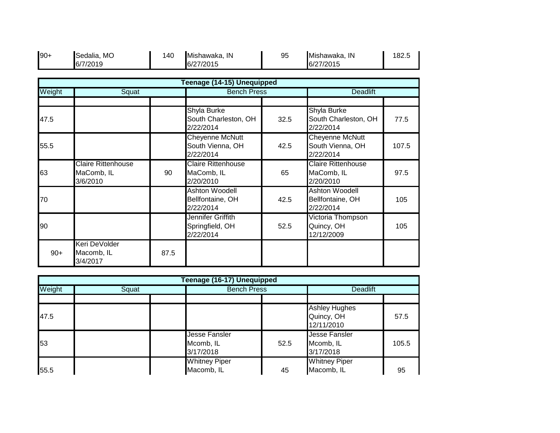| $90+$ | Sedalia<br>MO<br>7/2019<br>$\overline{6}$ | 140 | IN<br>Mishawaka.<br>7/2015<br>6/27 | 95 | IN<br>Mishawaka.<br>7/2015<br>6/27 | 182.5 |
|-------|-------------------------------------------|-----|------------------------------------|----|------------------------------------|-------|
|       |                                           |     |                                    |    |                                    |       |

|        | Teenage (14-15) Unequipped                          |      |                                                         |      |                                                        |       |  |  |  |  |
|--------|-----------------------------------------------------|------|---------------------------------------------------------|------|--------------------------------------------------------|-------|--|--|--|--|
| Weight | Squat                                               |      | <b>Bench Press</b>                                      |      | <b>Deadlift</b>                                        |       |  |  |  |  |
|        |                                                     |      |                                                         |      |                                                        |       |  |  |  |  |
| 47.5   |                                                     |      | <b>Shyla Burke</b><br>South Charleston, OH<br>2/22/2014 | 32.5 | Shyla Burke<br>South Charleston, OH<br>2/22/2014       | 77.5  |  |  |  |  |
| 55.5   |                                                     |      | Cheyenne McNutt<br>South Vienna, OH<br>2/22/2014        | 42.5 | Cheyenne McNutt<br>South Vienna, OH<br>2/22/2014       | 107.5 |  |  |  |  |
| 63     | <b>Claire Rittenhouse</b><br>MaComb, IL<br>3/6/2010 | 90   | <b>Claire Rittenhouse</b><br>MaComb, IL<br>2/20/2010    | 65   | <b>Claire Rittenhouse</b><br>MaComb, IL<br>2/20/2010   | 97.5  |  |  |  |  |
| 70     |                                                     |      | <b>Ashton Woodell</b><br>Bellfontaine, OH<br>2/22/2014  | 42.5 | <b>Ashton Woodell</b><br>Bellfontaine, OH<br>2/22/2014 | 105   |  |  |  |  |
| 90     |                                                     |      | Jennifer Griffith<br>Springfield, OH<br>2/22/2014       | 52.5 | Victoria Thompson<br>Quincy, OH<br>12/12/2009          | 105   |  |  |  |  |
| $90+$  | Keri DeVolder<br>Macomb, IL<br>3/4/2017             | 87.5 |                                                         |      |                                                        |       |  |  |  |  |

|        | Teenage (16-17) Unequipped |                                                |                    |                                                  |       |  |  |  |  |  |
|--------|----------------------------|------------------------------------------------|--------------------|--------------------------------------------------|-------|--|--|--|--|--|
| Weight | Squat                      |                                                | <b>Bench Press</b> |                                                  |       |  |  |  |  |  |
|        |                            |                                                |                    |                                                  |       |  |  |  |  |  |
| 47.5   |                            |                                                |                    | <b>Ashley Hughes</b><br>Quincy, OH<br>12/11/2010 | 57.5  |  |  |  |  |  |
| 53     |                            | <b>Jesse Fansler</b><br>Mcomb, IL<br>3/17/2018 | 52.5               | <b>Jesse Fansler</b><br>Mcomb, IL<br>3/17/2018   | 105.5 |  |  |  |  |  |
| 55.5   |                            | <b>Whitney Piper</b><br>Macomb, IL             | 45                 | <b>Whitney Piper</b><br>Macomb, IL               | 95    |  |  |  |  |  |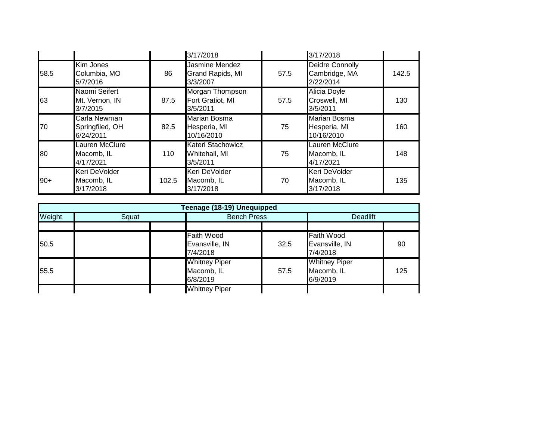|       |                                              |       | 3/17/2018                                       |      | 3/17/2018                                         |       |
|-------|----------------------------------------------|-------|-------------------------------------------------|------|---------------------------------------------------|-------|
| 58.5  | Kim Jones<br>Columbia, MO<br>5/7/2016        | 86    | Jasmine Mendez<br>Grand Rapids, MI<br>3/3/2007  | 57.5 | Deidre Connolly<br>Cambridge, MA<br>2/22/2014     | 142.5 |
| 63    | Naomi Seifert<br>Mt. Vernon, IN<br>3/7/2015  | 87.5  | Morgan Thompson<br>Fort Gratiot, MI<br>3/5/2011 | 57.5 | <b>Alicia Doyle</b><br>Croswell, MI<br>3/5/2011   | 130   |
| 70    | Carla Newman<br>Springfiled, OH<br>6/24/2011 | 82.5  | Marian Bosma<br>Hesperia, MI<br>10/16/2010      | 75   | <b>Marian Bosma</b><br>Hesperia, MI<br>10/16/2010 | 160   |
| 80    | Lauren McClure<br>Macomb, IL<br>4/17/2021    | 110   | Kateri Stachowicz<br>Whitehall, MI<br>3/5/2011  | 75   | <b>Lauren McClure</b><br>Macomb, IL<br>4/17/2021  | 148   |
| $90+$ | Keri DeVolder<br>Macomb, IL<br>3/17/2018     | 102.5 | Keri DeVolder<br>Macomb, IL<br>3/17/2018        | 70   | Keri DeVolder<br>Macomb, IL<br>3/17/2018          | 135   |

|                 | Teenage (18-19) Unequipped |                                                 |      |                                                 |     |  |  |  |
|-----------------|----------------------------|-------------------------------------------------|------|-------------------------------------------------|-----|--|--|--|
| Weight<br>Squat |                            | <b>Bench Press</b>                              |      | <b>Deadlift</b>                                 |     |  |  |  |
|                 |                            |                                                 |      |                                                 |     |  |  |  |
| 50.5            |                            | <b>Faith Wood</b><br>Evansville, IN<br>7/4/2018 | 32.5 | <b>Faith Wood</b><br>Evansville, IN<br>7/4/2018 | 90  |  |  |  |
| 55.5            |                            | <b>Whitney Piper</b><br>Macomb, IL<br>6/8/2019  | 57.5 | <b>Whitney Piper</b><br>Macomb, IL<br>6/9/2019  | 125 |  |  |  |
|                 |                            | <b>Whitney Piper</b>                            |      |                                                 |     |  |  |  |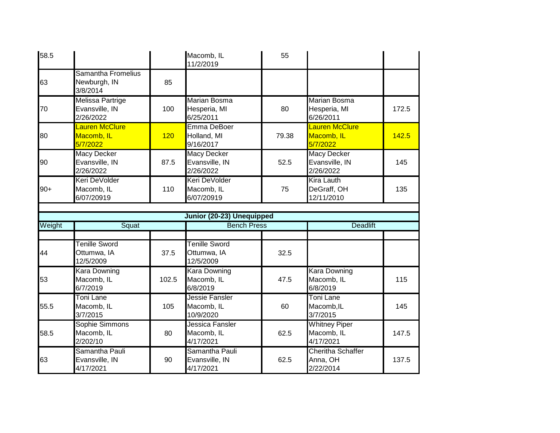| 58.5   |                                                            |       | Macomb, IL<br>11/2/2019                           | 55    |                                                   |       |
|--------|------------------------------------------------------------|-------|---------------------------------------------------|-------|---------------------------------------------------|-------|
| 63     | Samantha Fromelius<br>Newburgh, IN<br>3/8/2014             | 85    |                                                   |       |                                                   |       |
| 70     | Melissa Partrige<br>Evansville, IN<br>2/26/2022            | 100   | <b>Marian Bosma</b><br>Hesperia, MI<br>6/25/2011  | 80    | <b>Marian Bosma</b><br>Hesperia, MI<br>6/26/2011  | 172.5 |
| 80     | Lauren McClure<br>Macomb, IL<br>5/7/2022                   | 120   | Emma DeBoer<br>Holland, MI<br>9/16/2017           | 79.38 | <b>Lauren McClure</b><br>Macomb, IL<br>5/7/2022   | 142.5 |
| 90     | <b>Macy Decker</b><br>Evansville, IN<br>2/26/2022          | 87.5  | <b>Macy Decker</b><br>Evansville, IN<br>2/26/2022 | 52.5  | <b>Macy Decker</b><br>Evansville, IN<br>2/26/2022 | 145   |
| $90+$  | Keri DeVolder<br>Macomb, IL<br>6/07/20919                  | 110   | Keri DeVolder<br>Macomb, IL<br>6/07/20919         | 75    | <b>Kira Lauth</b><br>DeGraff, OH<br>12/11/2010    | 135   |
|        |                                                            |       |                                                   |       |                                                   |       |
|        |                                                            |       | Junior (20-23) Unequipped                         |       |                                                   |       |
| Weight | Squat                                                      |       | <b>Bench Press</b>                                |       | <b>Deadlift</b>                                   |       |
|        |                                                            |       |                                                   |       |                                                   |       |
| 44     | <b>Tenille Sword</b><br>Ottumwa, IA<br>12/5/2009           | 37.5  | <b>Tenille Sword</b><br>Ottumwa, IA<br>12/5/2009  | 32.5  |                                                   |       |
| 53     | <b>Kara Downing</b><br>Macomb, IL<br>6/7/2019              | 102.5 | <b>Kara Downing</b><br>Macomb, IL<br>6/8/2019     | 47.5  | <b>Kara Downing</b><br>Macomb, IL<br>6/8/2019     | 115   |
| 55.5   | Toni Lane<br>Macomb, IL<br>3/7/2015                        | 105   | Jessie Fansler<br>Macomb, IL<br>10/9/2020         | 60    | <b>Toni Lane</b><br>Macomb, IL<br>3/7/2015        | 145   |
| 58.5   | Sophie Simmons<br>Macomb, IL<br>2/202/10<br>Samantha Pauli | 80    | Jessica Fansler<br>Macomb, IL<br>4/17/2021        | 62.5  | <b>Whitney Piper</b><br>Macomb, IL<br>4/17/2021   | 147.5 |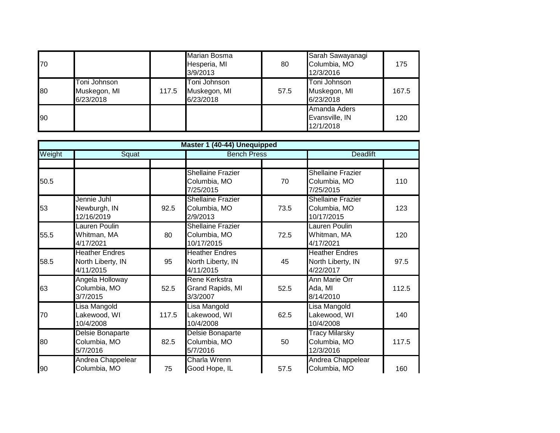| 70 |                                           |       | <b>Marian Bosma</b><br>Hesperia, MI<br>3/9/2013 | 80   | Sarah Sawayanagi<br>Columbia, MO<br>12/3/2016 | 175   |
|----|-------------------------------------------|-------|-------------------------------------------------|------|-----------------------------------------------|-------|
| 80 | Toni Johnson<br>Muskegon, MI<br>6/23/2018 | 117.5 | Toni Johnson<br>Muskegon, MI<br>6/23/2018       | 57.5 | Toni Johnson<br>Muskegon, MI<br>6/23/2018     | 167.5 |
| 90 |                                           |       |                                                 |      | Amanda Aders<br>Evansville, IN<br>12/1/2018   | 120   |

|        |                                                         |       | Master 1 (40-44) Unequipped                             |      |                                                         |       |
|--------|---------------------------------------------------------|-------|---------------------------------------------------------|------|---------------------------------------------------------|-------|
| Weight | Squat                                                   |       | <b>Bench Press</b>                                      |      | <b>Deadlift</b>                                         |       |
|        |                                                         |       |                                                         |      |                                                         |       |
| 50.5   |                                                         |       | <b>Shellaine Frazier</b><br>Columbia, MO<br>7/25/2015   | 70   | <b>Shellaine Frazier</b><br>Columbia, MO<br>7/25/2015   | 110   |
| 53     | Jennie Juhl<br>Newburgh, IN<br>12/16/2019               | 92.5  | <b>Shellaine Frazier</b><br>Columbia, MO<br>2/9/2013    | 73.5 | <b>Shellaine Frazier</b><br>Columbia, MO<br>10/17/2015  | 123   |
| 55.5   | Lauren Poulin<br>Whitman, MA<br>4/17/2021               | 80    | <b>Shellaine Frazier</b><br>Columbia, MO<br>10/17/2015  | 72.5 | Lauren Poulin<br>Whitman, MA<br>4/17/2021               | 120   |
| 58.5   | <b>Heather Endres</b><br>North Liberty, IN<br>4/11/2015 | 95    | <b>Heather Endres</b><br>North Liberty, IN<br>4/11/2015 | 45   | <b>Heather Endres</b><br>North Liberty, IN<br>4/22/2017 | 97.5  |
| 63     | Angela Holloway<br>Columbia, MO<br>3/7/2015             | 52.5  | Rene Kerkstra<br>Grand Rapids, MI<br>3/3/2007           | 52.5 | <b>Ann Marie Orr</b><br>Ada, MI<br>8/14/2010            | 112.5 |
| 70     | Lisa Mangold<br>Lakewood, WI<br>10/4/2008               | 117.5 | Lisa Mangold<br>Lakewood, WI<br>10/4/2008               | 62.5 | Lisa Mangold<br>Lakewood, WI<br>10/4/2008               | 140   |
| 80     | Delsie Bonaparte<br>Columbia, MO<br>5/7/2016            | 82.5  | Delsie Bonaparte<br>Columbia, MO<br>5/7/2016            | 50   | <b>Tracy Milarsky</b><br>Columbia, MO<br>12/3/2016      | 117.5 |
| 90     | Andrea Chappelear<br>Columbia, MO                       | 75    | Charla Wrenn<br>Good Hope, IL                           | 57.5 | Andrea Chappelear<br>Columbia, MO                       | 160   |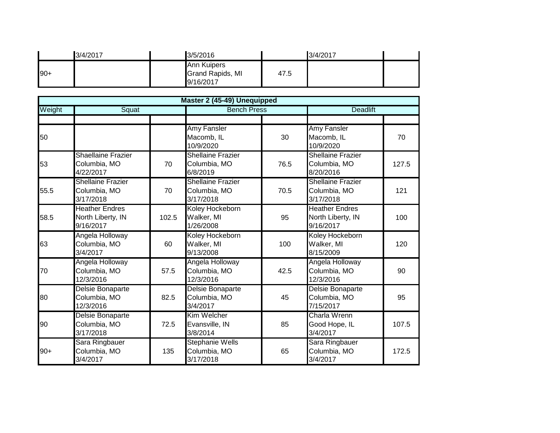| 3/4/2017 | 3/5/2016                                            |      | 3/4/2017 |  |
|----------|-----------------------------------------------------|------|----------|--|
| $90+$    | <b>Ann Kuipers</b><br>Grand Rapids, MI<br>9/16/2017 | 47.5 |          |  |
|          | Master 2 (45-49) Unequipped                         |      |          |  |

|        |                                                         |       | Master 2 (45-49) Unequipped                           |                    |                                                         |       |
|--------|---------------------------------------------------------|-------|-------------------------------------------------------|--------------------|---------------------------------------------------------|-------|
| Weight | Squat                                                   |       |                                                       | <b>Bench Press</b> |                                                         |       |
| 50     |                                                         |       | <b>Amy Fansler</b><br>Macomb, IL<br>10/9/2020         | 30                 | <b>Amy Fansler</b><br>Macomb, IL<br>10/9/2020           | 70    |
| 53     | Shaellaine Frazier<br>Columbia, MO<br>4/22/2017         | 70    | <b>Shellaine Frazier</b><br>Columbia, MO<br>6/8/2019  | 76.5               | Shellaine Frazier<br>Columbia, MO<br>8/20/2016          | 127.5 |
| 55.5   | <b>Shellaine Frazier</b><br>Columbia, MO<br>3/17/2018   | 70    | <b>Shellaine Frazier</b><br>Columbia, MO<br>3/17/2018 | 70.5               | <b>Shellaine Frazier</b><br>Columbia, MO<br>3/17/2018   | 121   |
| 58.5   | <b>Heather Endres</b><br>North Liberty, IN<br>9/16/2017 | 102.5 | Koley Hockeborn<br>Walker, MI<br>1/26/2008            | 95                 | <b>Heather Endres</b><br>North Liberty, IN<br>9/16/2017 | 100   |
| 63     | Angela Holloway<br>Columbia, MO<br>3/4/2017             | 60    | Koley Hockeborn<br>Walker, MI<br>9/13/2008            | 100                | Koley Hockeborn<br>Walker, MI<br>8/15/2009              | 120   |
| 70     | Angela Holloway<br>Columbia, MO<br>12/3/2016            | 57.5  | Angela Holloway<br>Columbia, MO<br>12/3/2016          | 42.5               | Angela Holloway<br>Columbia, MO<br>12/3/2016            | 90    |
| 80     | Delsie Bonaparte<br>Columbia, MO<br>12/3/2016           | 82.5  | Delsie Bonaparte<br>Columbia, MO<br>3/4/2017          | 45                 | Delsie Bonaparte<br>Columbia, MO<br>7/15/2017           | 95    |
| 90     | Delsie Bonaparte<br>Columbia, MO<br>3/17/2018           | 72.5  | Kim Welcher<br>Evansville, IN<br>3/8/2014             | 85                 | Charla Wrenn<br>Good Hope, IL<br>3/4/2017               | 107.5 |
| $90+$  | Sara Ringbauer<br>Columbia, MO<br>3/4/2017              | 135   | <b>Stephanie Wells</b><br>Columbia, MO<br>3/17/2018   | 65                 | Sara Ringbauer<br>Columbia, MO<br>3/4/2017              | 172.5 |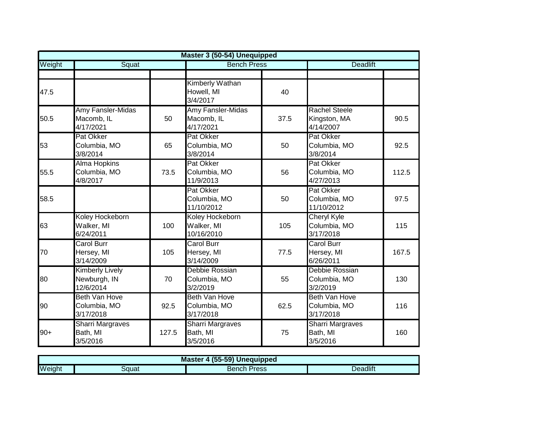|        |                                                     |       | Master 3 (50-54) Unequipped                      |      |                                                   |       |
|--------|-----------------------------------------------------|-------|--------------------------------------------------|------|---------------------------------------------------|-------|
| Weight | Squat                                               |       | <b>Bench Press</b>                               |      | <b>Deadlift</b>                                   |       |
|        |                                                     |       |                                                  |      |                                                   |       |
| 47.5   |                                                     |       | <b>Kimberly Wathan</b><br>Howell, MI<br>3/4/2017 | 40   |                                                   |       |
| 50.5   | Amy Fansler-Midas<br>Macomb, IL<br>4/17/2021        | 50    | Amy Fansler-Midas<br>Macomb, IL<br>4/17/2021     | 37.5 | <b>Rachel Steele</b><br>Kingston, MA<br>4/14/2007 | 90.5  |
| 53     | Pat Okker<br>Columbia, MO<br>3/8/2014               | 65    | Pat Okker<br>Columbia, MO<br>3/8/2014            | 50   | Pat Okker<br>Columbia, MO<br>3/8/2014             | 92.5  |
| 55.5   | <b>Alma Hopkins</b><br>Columbia, MO<br>4/8/2017     | 73.5  | Pat Okker<br>Columbia, MO<br>11/9/2013           | 56   | Pat Okker<br>Columbia, MO<br>4/27/2013            | 112.5 |
| 58.5   |                                                     |       | Pat Okker<br>Columbia, MO<br>11/10/2012          | 50   | Pat Okker<br>Columbia, MO<br>11/10/2012           | 97.5  |
| 63     | Koley Hockeborn<br>Walker, MI<br>6/24/2011          | 100   | Koley Hockeborn<br>Walker, MI<br>10/16/2010      | 105  | <b>Cheryl Kyle</b><br>Columbia, MO<br>3/17/2018   | 115   |
| 70     | <b>Carol Burr</b><br>Hersey, MI<br>3/14/2009        | 105   | <b>Carol Burr</b><br>Hersey, MI<br>3/14/2009     | 77.5 | Carol Burr<br>Hersey, MI<br>6/26/2011             | 167.5 |
| 80     | <b>Kimberly Lively</b><br>Newburgh, IN<br>12/6/2014 | 70    | Debbie Rossian<br>Columbia, MO<br>3/2/2019       | 55   | Debbie Rossian<br>Columbia, MO<br>3/2/2019        | 130   |
| 90     | <b>Beth Van Hove</b><br>Columbia, MO<br>3/17/2018   | 92.5  | Beth Van Hove<br>Columbia, MO<br>3/17/2018       | 62.5 | <b>Beth Van Hove</b><br>Columbia, MO<br>3/17/2018 | 116   |
| $90+$  | <b>Sharri Margraves</b><br>Bath, MI<br>3/5/2016     | 127.5 | <b>Sharri Margraves</b><br>Bath, MI<br>3/5/2016  | 75   | <b>Sharri Margraves</b><br>Bath, MI<br>3/5/2016   | 160   |

| , J5-59) <b>I</b><br><b>Master</b><br>Unequipped |       |                |          |  |  |
|--------------------------------------------------|-------|----------------|----------|--|--|
| Weight                                           | Squat | Press<br>Bench | Deadlift |  |  |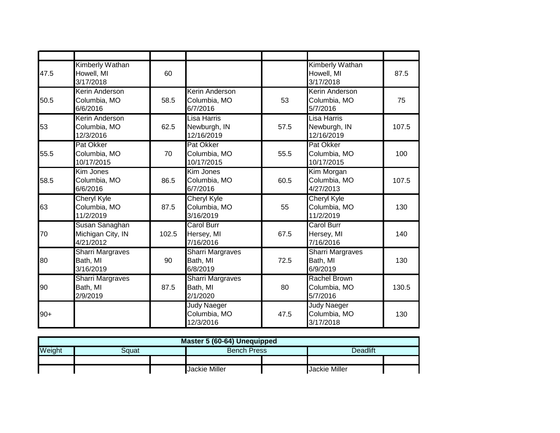| 47.5  | Kimberly Wathan<br>Howell, MI<br>3/17/2018        | 60    |                                                 |      | Kimberly Wathan<br>Howell, MI<br>3/17/2018      | 87.5  |
|-------|---------------------------------------------------|-------|-------------------------------------------------|------|-------------------------------------------------|-------|
| 50.5  | <b>Kerin Anderson</b><br>Columbia, MO<br>6/6/2016 | 58.5  | Kerin Anderson<br>Columbia, MO<br>6/7/2016      | 53   | Kerin Anderson<br>Columbia, MO<br>5/7/2016      | 75    |
| 53    | Kerin Anderson<br>Columbia, MO<br>12/3/2016       | 62.5  | Lisa Harris<br>Newburgh, IN<br>12/16/2019       | 57.5 | Lisa Harris<br>Newburgh, IN<br>12/16/2019       | 107.5 |
| 55.5  | Pat Okker<br>Columbia, MO<br>10/17/2015           | 70    | Pat Okker<br>Columbia, MO<br>10/17/2015         | 55.5 | Pat Okker<br>Columbia, MO<br>10/17/2015         | 100   |
| 58.5  | Kim Jones<br>Columbia, MO<br>6/6/2016             | 86.5  | Kim Jones<br>Columbia, MO<br>6/7/2016           | 60.5 | Kim Morgan<br>Columbia, MO<br>4/27/2013         | 107.5 |
| 63    | <b>Cheryl Kyle</b><br>Columbia, MO<br>11/2/2019   | 87.5  | <b>Cheryl Kyle</b><br>Columbia, MO<br>3/16/2019 | 55   | <b>Cheryl Kyle</b><br>Columbia, MO<br>11/2/2019 | 130   |
| 70    | Susan Sanaghan<br>Michigan City, IN<br>4/21/2012  | 102.5 | Carol Burr<br>Hersey, MI<br>7/16/2016           | 67.5 | <b>Carol Burr</b><br>Hersey, MI<br>7/16/2016    | 140   |
| 80    | <b>Sharri Margraves</b><br>Bath, MI<br>3/16/2019  | 90    | <b>Sharri Margraves</b><br>Bath, MI<br>6/8/2019 | 72.5 | <b>Sharri Margraves</b><br>Bath, MI<br>6/9/2019 | 130   |
| 90    | <b>Sharri Margraves</b><br>Bath, MI<br>2/9/2019   | 87.5  | <b>Sharri Margraves</b><br>Bath, MI<br>2/1/2020 | 80   | <b>Rachel Brown</b><br>Columbia, MO<br>5/7/2016 | 130.5 |
| $90+$ |                                                   |       | <b>Judy Naeger</b><br>Columbia, MO<br>12/3/2016 | 47.5 | <b>Judy Naeger</b><br>Columbia, MO<br>3/17/2018 | 130   |

| Master 5 (60-64) Unequipped                              |                                              |  |  |  |  |  |  |
|----------------------------------------------------------|----------------------------------------------|--|--|--|--|--|--|
| Weight<br><b>Deadlift</b><br><b>Bench Press</b><br>3quat |                                              |  |  |  |  |  |  |
|                                                          |                                              |  |  |  |  |  |  |
|                                                          | <b>Jackie Miller</b><br><b>Jackie Miller</b> |  |  |  |  |  |  |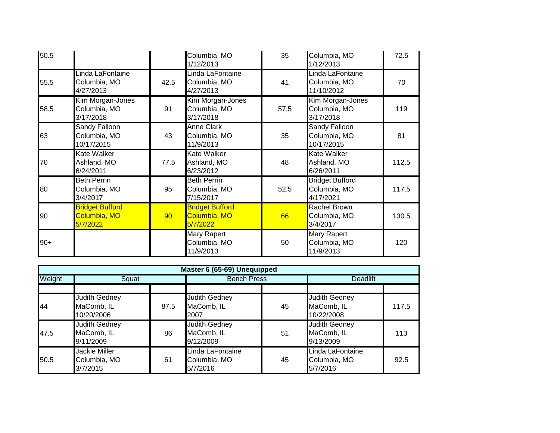| 50.5  |                                                    |      | Columbia, MO<br>1/12/2013                          | 35   | Columbia, MO<br>1/12/2013                           | 72.5  |
|-------|----------------------------------------------------|------|----------------------------------------------------|------|-----------------------------------------------------|-------|
| 55.5  | Linda LaFontaine<br>Columbia, MO<br>4/27/2013      | 42.5 | Linda LaFontaine<br>Columbia, MO<br>4/27/2013      | 41   | Linda LaFontaine<br>Columbia, MO<br>11/10/2012      | 70    |
| 58.5  | Kim Morgan-Jones<br>Columbia, MO<br>3/17/2018      | 91   | Kim Morgan-Jones<br>Columbia, MO<br>3/17/2018      | 57.5 | Kim Morgan-Jones<br>Columbia, MO<br>3/17/2018       | 119   |
| 63    | <b>Sandy Falloon</b><br>Columbia, MO<br>10/17/2015 | 43   | <b>Anne Clark</b><br>Columbia, MO<br>11/9/2013     | 35   | <b>Sandy Falloon</b><br>Columbia, MO<br>10/17/2015  | 81    |
| 70    | <b>Kate Walker</b><br>Ashland, MO<br>6/24/2011     | 77.5 | <b>Kate Walker</b><br>Ashland, MO<br>6/23/2012     | 48   | <b>Kate Walker</b><br>Ashland, MO<br>6/26/2011      | 112.5 |
| 80    | <b>Beth Perrin</b><br>Columbia, MO<br>3/4/2017     | 95   | <b>Beth Perrin</b><br>Columbia, MO<br>7/15/2017    | 52.5 | <b>Bridget Bufford</b><br>Columbia, MO<br>4/17/2021 | 117.5 |
| 90    | <b>Bridget Bufford</b><br>Columbia, MO<br>5/7/2022 | 90   | <b>Bridget Bufford</b><br>Columbia, MO<br>5/7/2022 | 66   | Rachel Brown<br>Columbia, MO<br>3/4/2017            | 130.5 |
| $90+$ |                                                    |      | Mary Rapert<br>Columbia, MO<br>11/9/2013           | 50   | <b>Mary Rapert</b><br>Columbia, MO<br>11/9/2013     | 120   |

|        | Master 6 (65-69) Unequipped                      |      |                                                 |    |                                                  |       |  |  |
|--------|--------------------------------------------------|------|-------------------------------------------------|----|--------------------------------------------------|-------|--|--|
| Weight | Squat                                            |      | <b>Bench Press</b>                              |    | <b>Deadlift</b>                                  |       |  |  |
|        |                                                  |      |                                                 |    |                                                  |       |  |  |
| 44     | Judith Gedney<br>MaComb, IL<br>10/20/2006        | 87.5 | <b>Judith Gedney</b><br>MaComb, IL<br>2007      | 45 | <b>Judith Gedney</b><br>MaComb, IL<br>10/22/2008 | 117.5 |  |  |
| 47.5   | <b>Judith Gedney</b><br>MaComb, IL<br>9/11/2009  | 86   | <b>Judith Gedney</b><br>MaComb, IL<br>9/12/2009 | 51 | <b>Judith Gedney</b><br>MaComb, IL<br>9/13/2009  | 113   |  |  |
| 50.5   | <b>Jackie Miller</b><br>Columbia, MO<br>3/7/2015 | 61   | Linda LaFontaine<br>Columbia, MO<br>5/7/2016    | 45 | Linda LaFontaine<br>Columbia, MO<br>5/7/2016     | 92.5  |  |  |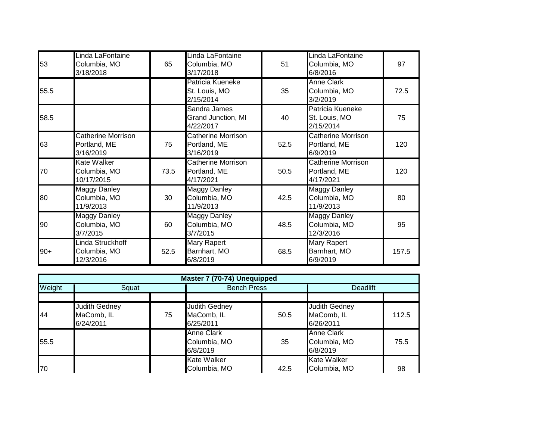| 53    | Linda LaFontaine<br>Columbia, MO<br>3/18/2018          | 65   | Linda LaFontaine<br>Columbia, MO<br>3/17/2018          | 51   | Linda LaFontaine<br>Columbia, MO<br>6/8/2016           | 97    |
|-------|--------------------------------------------------------|------|--------------------------------------------------------|------|--------------------------------------------------------|-------|
| 55.5  |                                                        |      | Patricia Kueneke<br>St. Louis, MO<br>2/15/2014         | 35   | <b>Anne Clark</b><br>Columbia, MO<br>3/2/2019          | 72.5  |
| 58.5  |                                                        |      | Sandra James<br>Grand Junction, MI<br>4/22/2017        | 40   | Patricia Kueneke<br>St. Louis, MO<br>2/15/2014         | 75    |
| 63    | <b>Catherine Morrison</b><br>Portland, ME<br>3/16/2019 | 75   | <b>Catherine Morrison</b><br>Portland, ME<br>3/16/2019 | 52.5 | <b>Catherine Morrison</b><br>Portland, ME<br>6/9/2019  | 120   |
| 70    | Kate Walker<br>Columbia, MO<br>10/17/2015              | 73.5 | <b>Catherine Morrison</b><br>Portland, ME<br>4/17/2021 | 50.5 | <b>Catherine Morrison</b><br>Portland, ME<br>4/17/2021 | 120   |
| 80    | Maggy Danley<br>Columbia, MO<br>11/9/2013              | 30   | Maggy Danley<br>Columbia, MO<br>11/9/2013              | 42.5 | <b>Maggy Danley</b><br>Columbia, MO<br>11/9/2013       | 80    |
| 90    | <b>Maggy Danley</b><br>Columbia, MO<br>3/7/2015        | 60   | <b>Maggy Danley</b><br>Columbia, MO<br>3/7/2015        | 48.5 | <b>Maggy Danley</b><br>Columbia, MO<br>12/3/2016       | 95    |
| $90+$ | Linda Struckhoff<br>Columbia, MO<br>12/3/2016          | 52.5 | <b>Mary Rapert</b><br>Barnhart, MO<br>6/8/2019         | 68.5 | <b>Mary Rapert</b><br>Barnhart, MO<br>6/9/2019         | 157.5 |

| Master 7 (70-74) Unequipped |                                          |    |                                                 |      |                                                 |       |  |  |  |
|-----------------------------|------------------------------------------|----|-------------------------------------------------|------|-------------------------------------------------|-------|--|--|--|
| Weight                      | Squat                                    |    | <b>Bench Press</b>                              |      | <b>Deadlift</b>                                 |       |  |  |  |
|                             |                                          |    |                                                 |      |                                                 |       |  |  |  |
| 44                          | Judith Gedney<br>MaComb, IL<br>6/24/2011 | 75 | <b>Judith Gedney</b><br>MaComb, IL<br>6/25/2011 | 50.5 | <b>Judith Gedney</b><br>MaComb, IL<br>6/26/2011 | 112.5 |  |  |  |
| 55.5                        |                                          |    | <b>Anne Clark</b><br>Columbia, MO<br>6/8/2019   | 35   | <b>Anne Clark</b><br>Columbia, MO<br>6/8/2019   | 75.5  |  |  |  |
| 70                          |                                          |    | <b>Kate Walker</b><br>Columbia, MO              | 42.5 | <b>Kate Walker</b><br>Columbia, MO              | 98    |  |  |  |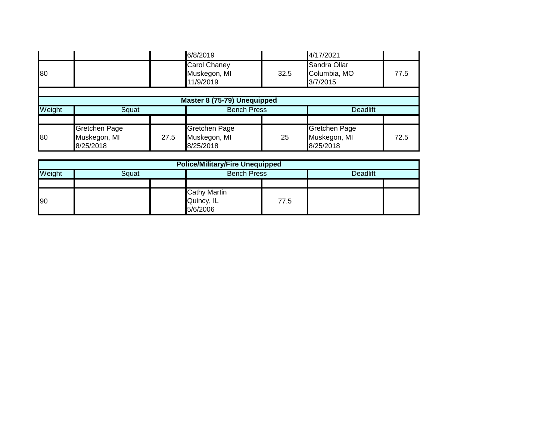|        |                           |      | 6/8/2019                                         |                    | 4/17/2021                                |                 |  |
|--------|---------------------------|------|--------------------------------------------------|--------------------|------------------------------------------|-----------------|--|
| 80     |                           |      | <b>Carol Chaney</b><br>Muskegon, MI<br>11/9/2019 | 32.5               | Sandra Ollar<br>Columbia, MO<br>3/7/2015 | 77.5            |  |
|        |                           |      |                                                  |                    |                                          |                 |  |
|        |                           |      | Master 8 (75-79) Unequipped                      |                    |                                          |                 |  |
| Weight | Squat                     |      |                                                  | <b>Bench Press</b> |                                          | <b>Deadlift</b> |  |
|        |                           |      |                                                  |                    |                                          |                 |  |
|        | Gretchen Page             |      | <b>Gretchen Page</b>                             |                    | Gretchen Page                            |                 |  |
| 80     | Muskegon, MI<br>8/25/2018 | 27.5 | Muskegon, MI<br>8/25/2018                        | 25                 | Muskegon, MI<br>8/25/2018                | 72.5            |  |

| <b>Police/Military/Fire Unequipped</b> |  |  |                                               |      |                 |  |  |  |
|----------------------------------------|--|--|-----------------------------------------------|------|-----------------|--|--|--|
| Weight<br>Squat                        |  |  | <b>Bench Press</b>                            |      | <b>Deadlift</b> |  |  |  |
|                                        |  |  |                                               |      |                 |  |  |  |
| 90                                     |  |  | <b>Cathy Martin</b><br>Quincy, IL<br>5/6/2006 | 77.5 |                 |  |  |  |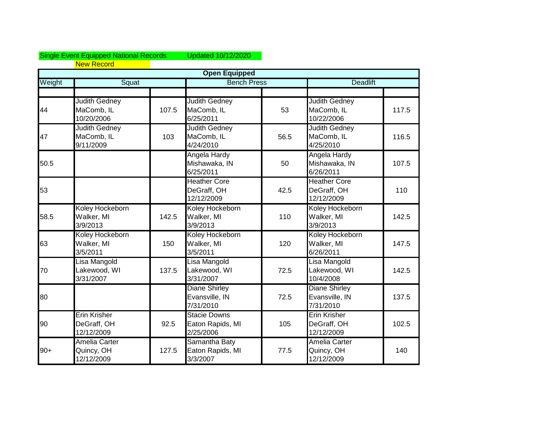## Single Event Equipped National Records Updated 10/12/2020 New Record

|        | <b>Open Equipped</b>                             |       |                                                      |      |                                                     |       |  |  |  |
|--------|--------------------------------------------------|-------|------------------------------------------------------|------|-----------------------------------------------------|-------|--|--|--|
| Weight | Squat                                            |       | <b>Bench Press</b>                                   |      | <b>Deadlift</b>                                     |       |  |  |  |
|        |                                                  |       |                                                      |      |                                                     |       |  |  |  |
| 44     | <b>Judith Gedney</b><br>MaComb, IL<br>10/20/2006 | 107.5 | <b>Judith Gedney</b><br>MaComb, IL<br>6/25/2011      | 53   | <b>Judith Gedney</b><br>MaComb, IL<br>10/22/2006    | 117.5 |  |  |  |
| 47     | <b>Judith Gedney</b><br>MaComb, IL<br>9/11/2009  | 103   | <b>Judith Gedney</b><br>MaComb, IL<br>4/24/2010      | 56.5 | <b>Judith Gedney</b><br>MaComb, IL<br>4/25/2010     | 116.5 |  |  |  |
| 50.5   |                                                  |       | Angela Hardy<br>Mishawaka, IN<br>6/25/2011           | 50   | Angela Hardy<br>Mishawaka, IN<br>6/26/2011          | 107.5 |  |  |  |
| 53     |                                                  |       | <b>Heather Core</b><br>DeGraff, OH<br>12/12/2009     | 42.5 | <b>Heather Core</b><br>DeGraff, OH<br>12/12/2009    | 110   |  |  |  |
| 58.5   | Koley Hockeborn<br>Walker, MI<br>3/9/2013        | 142.5 | Koley Hockeborn<br>Walker, MI<br>3/9/2013            | 110  | Koley Hockeborn<br>Walker, MI<br>3/9/2013           | 142.5 |  |  |  |
| 63     | Koley Hockeborn<br>Walker, MI<br>3/5/2011        | 150   | Koley Hockeborn<br>Walker, MI<br>3/5/2011            | 120  | Koley Hockeborn<br>Walker, MI<br>6/26/2011          | 147.5 |  |  |  |
| 70     | Lisa Mangold<br>Lakewood, WI<br>3/31/2007        | 137.5 | Lisa Mangold<br>Lakewood, WI<br>3/31/2007            | 72.5 | Lisa Mangold<br>Lakewood, WI<br>10/4/2008           | 142.5 |  |  |  |
| 80     |                                                  |       | <b>Diane Shirley</b><br>Evansville, IN<br>7/31/2010  | 72.5 | <b>Diane Shirley</b><br>Evansville, IN<br>7/31/2010 | 137.5 |  |  |  |
| 90     | <b>Erin Krisher</b><br>DeGraff, OH<br>12/12/2009 | 92.5  | <b>Stacie Downs</b><br>Eaton Rapids, MI<br>2/25/2006 | 105  | Erin Krisher<br>DeGraff, OH<br>12/12/2009           | 102.5 |  |  |  |
| $90+$  | <b>Amelia Carter</b><br>Quincy, OH<br>12/12/2009 | 127.5 | Samantha Baty<br>Eaton Rapids, MI<br>3/3/2007        | 77.5 | <b>Amelia Carter</b><br>Quincy, OH<br>12/12/2009    | 140   |  |  |  |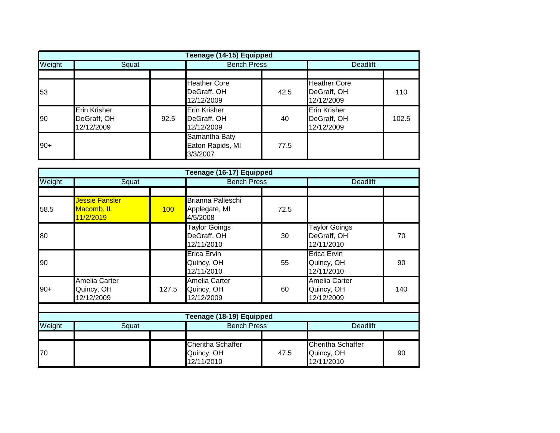|        | Teenage (14-15) Equipped                         |      |                                                  |      |                                                  |       |  |  |  |
|--------|--------------------------------------------------|------|--------------------------------------------------|------|--------------------------------------------------|-------|--|--|--|
| Weight | Squat                                            |      | <b>Bench Press</b>                               |      | <b>Deadlift</b>                                  |       |  |  |  |
|        |                                                  |      |                                                  |      |                                                  |       |  |  |  |
| 53     |                                                  |      | <b>Heather Core</b><br>DeGraff, OH<br>12/12/2009 | 42.5 | <b>Heather Core</b><br>DeGraff, OH<br>12/12/2009 | 110   |  |  |  |
| 90     | <b>Erin Krisher</b><br>DeGraff, OH<br>12/12/2009 | 92.5 | <b>Erin Krisher</b><br>DeGraff, OH<br>12/12/2009 | 40   | <b>Erin Krisher</b><br>DeGraff, OH<br>12/12/2009 | 102.5 |  |  |  |
| $90+$  |                                                  |      | Samantha Baty<br>Eaton Rapids, MI<br>3/3/2007    | 77.5 |                                                  |       |  |  |  |

|        |                                           |       | Teenage (16-17) Equipped                          |                    |                                                   |                 |  |
|--------|-------------------------------------------|-------|---------------------------------------------------|--------------------|---------------------------------------------------|-----------------|--|
| Weight | Squat                                     |       |                                                   | <b>Bench Press</b> |                                                   | <b>Deadlift</b> |  |
|        |                                           |       |                                                   |                    |                                                   |                 |  |
| 58.5   | Jessie Fansler<br>Macomb, IL<br>11/2/2019 | 100   | Brianna Palleschi<br>Applegate, MI<br>4/5/2008    | 72.5               |                                                   |                 |  |
| 80     |                                           |       | <b>Taylor Goings</b><br>DeGraff, OH<br>12/11/2010 | 30                 | <b>Taylor Goings</b><br>DeGraff, OH<br>12/11/2010 | 70              |  |
| 90     |                                           |       | <b>Erica Ervin</b><br>Quincy, OH<br>12/11/2010    | 55                 | <b>Erica Ervin</b><br>Quincy, OH<br>12/11/2010    | 90              |  |
| $90+$  | Amelia Carter<br>Quincy, OH<br>12/12/2009 | 127.5 | Amelia Carter<br>Quincy, OH<br>12/12/2009         | 60                 | Amelia Carter<br>Quincy, OH<br>12/12/2009         | 140             |  |
|        |                                           |       |                                                   |                    |                                                   |                 |  |
|        |                                           |       | Teenage (18-19) Equipped                          |                    |                                                   |                 |  |
| Weight | Squat                                     |       | <b>Bench Press</b>                                |                    | <b>Deadlift</b>                                   |                 |  |
|        |                                           |       | <b>Cheritha Schaffer</b>                          |                    | <b>Cheritha Schaffer</b>                          |                 |  |
| 70     |                                           |       | Quincy, OH<br>12/11/2010                          | 47.5               | Quincy, OH<br>12/11/2010                          | 90              |  |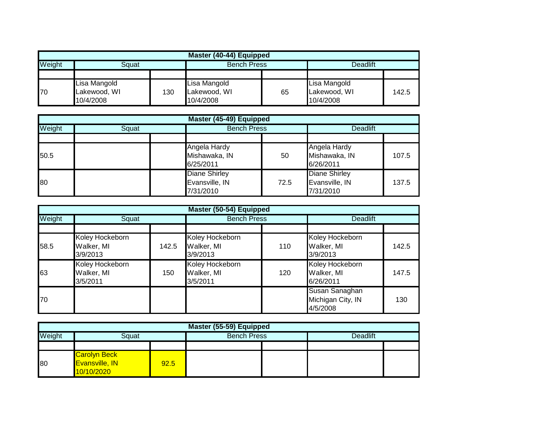|        | Master (40-44) Equipped |     |                    |    |              |       |  |  |  |
|--------|-------------------------|-----|--------------------|----|--------------|-------|--|--|--|
| Weight | Sɑuat                   |     | <b>Bench Press</b> |    | Deadlift     |       |  |  |  |
|        |                         |     |                    |    |              |       |  |  |  |
|        | Lisa Mangold            |     | Lisa Mangold       |    | Lisa Mangold |       |  |  |  |
| 70     | Lakewood, WI            | 130 | Lakewood, WI       | 65 | Lakewood, WI | 142.5 |  |  |  |
|        | 10/4/2008               |     | 10/4/2008          |    | 10/4/2008    |       |  |  |  |

| Master (45-49) Equipped |       |                                                     |      |                                                     |       |  |  |
|-------------------------|-------|-----------------------------------------------------|------|-----------------------------------------------------|-------|--|--|
| Weight                  | Squat | <b>Bench Press</b>                                  |      | <b>Deadlift</b>                                     |       |  |  |
|                         |       |                                                     |      |                                                     |       |  |  |
| 50.5                    |       | Angela Hardy<br>Mishawaka, IN<br>6/25/2011          | 50   | Angela Hardy<br>Mishawaka, IN<br>6/26/2011          | 107.5 |  |  |
| 80                      |       | <b>Diane Shirley</b><br>Evansville, IN<br>7/31/2010 | 72.5 | <b>Diane Shirley</b><br>Evansville, IN<br>7/31/2010 | 137.5 |  |  |

|        | Master (50-54) Equipped                   |       |                                           |     |                                                 |       |  |  |  |
|--------|-------------------------------------------|-------|-------------------------------------------|-----|-------------------------------------------------|-------|--|--|--|
| Weight | Squat                                     |       | <b>Bench Press</b>                        |     | <b>Deadlift</b>                                 |       |  |  |  |
|        |                                           |       |                                           |     |                                                 |       |  |  |  |
| 58.5   | Koley Hockeborn<br>Walker, MI<br>3/9/2013 | 142.5 | Koley Hockeborn<br>Walker, MI<br>3/9/2013 | 110 | Koley Hockeborn<br>Walker, MI<br>3/9/2013       | 142.5 |  |  |  |
| 63     | Koley Hockeborn<br>Walker, MI<br>3/5/2011 | 150   | Koley Hockeborn<br>Walker, MI<br>3/5/2011 | 120 | Koley Hockeborn<br>Walker, MI<br>6/26/2011      | 147.5 |  |  |  |
| 70     |                                           |       |                                           |     | Susan Sanaghan<br>Michigan City, IN<br>4/5/2008 | 130   |  |  |  |

|        | Master (55-59) Equipped                                    |      |                    |  |                 |  |  |  |
|--------|------------------------------------------------------------|------|--------------------|--|-----------------|--|--|--|
| Weight | Sɑuat                                                      |      | <b>Bench Press</b> |  | <b>Deadlift</b> |  |  |  |
|        |                                                            |      |                    |  |                 |  |  |  |
| 80     | <b>Carolyn Beck</b><br><b>Evansville, IN</b><br>10/10/2020 | 92.5 |                    |  |                 |  |  |  |